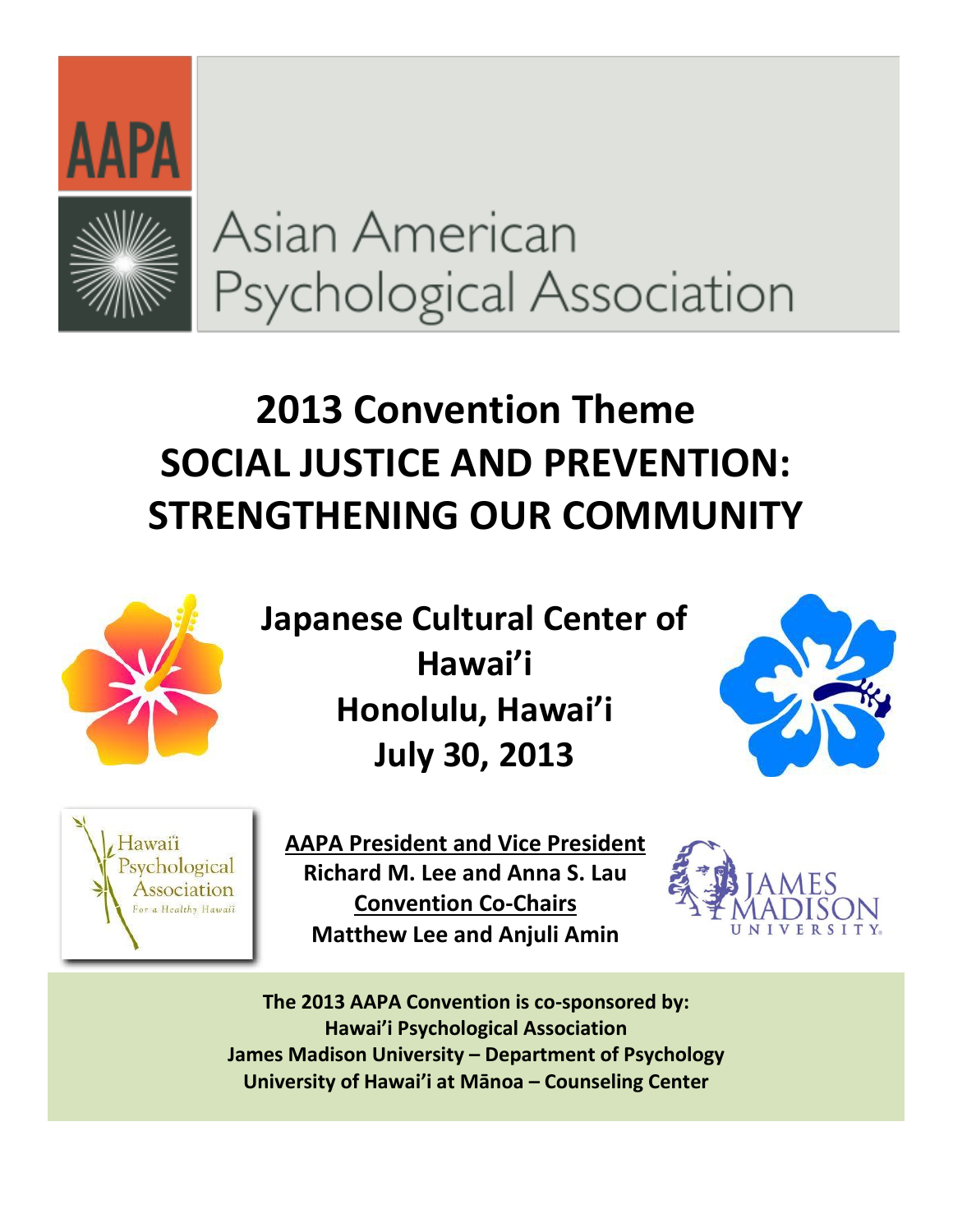



# Asian American Psychological Association

## **2013 Convention Theme SOCIAL JUSTICE AND PREVENTION: STRENGTHENING%OUR%COMMUNITY**



**Japanese Cultural Center of** Hawai'i **Honolulu, Hawai'i July%30,%2013**





**AAPA President and Vice President Richard M. Lee and Anna S. Lau Convention Co-Chairs Matthew Lee and Anjuli Amin** 



The 2013 AAPA Convention is co-sponsored by: **Hawai'i Psychological Association James Madison University – Department of Psychology University%of%Hawai͛i%at%MĈnoa%ʹ Counseling%Center**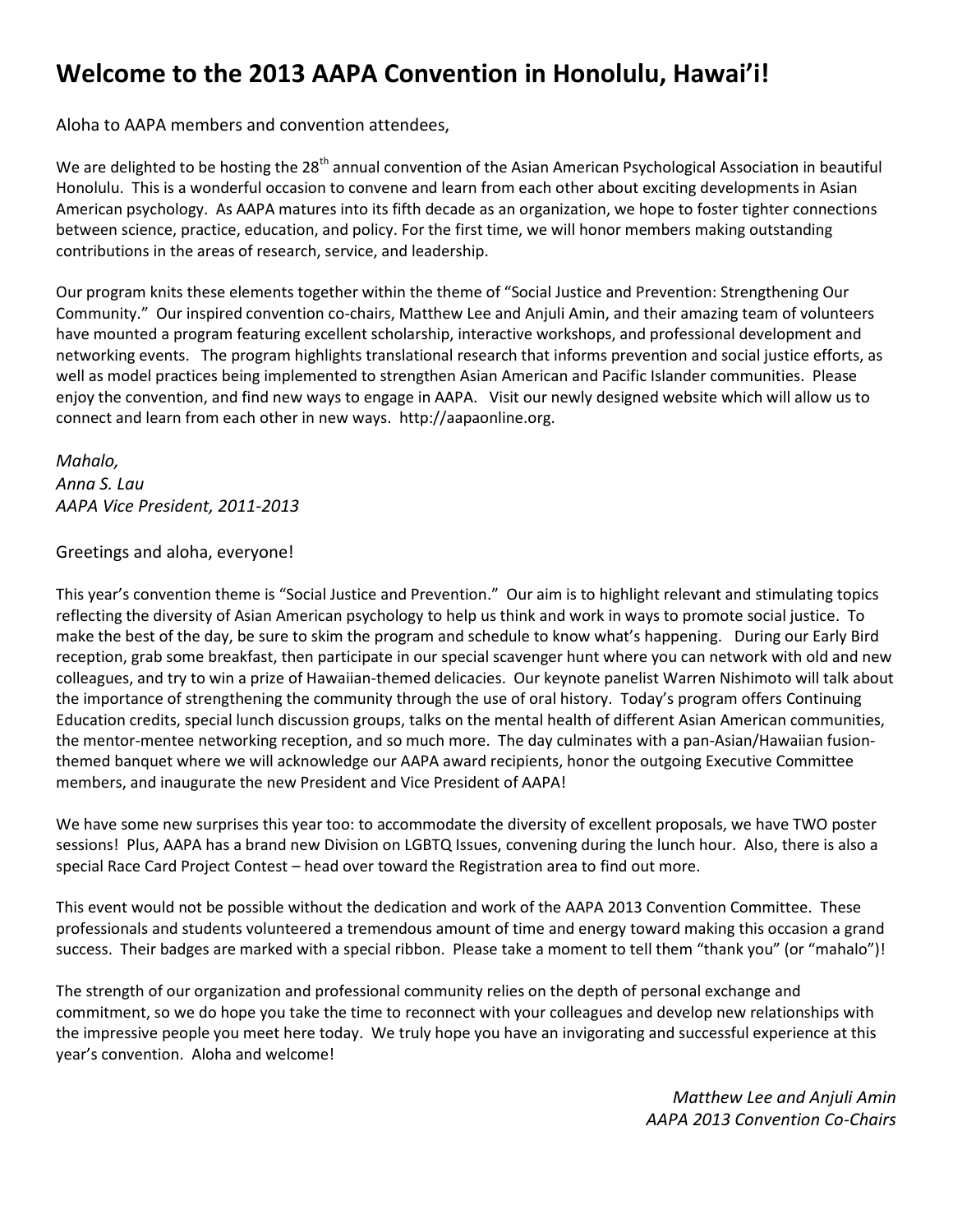## **Welcome to the 2013 AAPA Convention in Honolulu, Hawai'i!**

Aloha to AAPA members and convention attendees,

We are delighted to be hosting the 28<sup>th</sup> annual convention of the Asian American Psychological Association in beautiful Honolulu. This is a wonderful occasion to convene and learn from each other about exciting developments in Asian American psychology. As AAPA matures into its fifth decade as an organization, we hope to foster tighter connections between science, practice, education, and policy. For the first time, we will honor members making outstanding contributions in the areas of research, service, and leadership.

Our program knits these elements together within the theme of "Social Justice and Prevention: Strengthening Our Community." Our inspired convention co-chairs, Matthew Lee and Anjuli Amin, and their amazing team of volunteers have mounted a program featuring excellent scholarship, interactive workshops, and professional development and networking events. The program highlights translational research that informs prevention and social justice efforts, as well as model practices being implemented to strengthen Asian American and Pacific Islander communities. Please enjoy the convention, and find new ways to engage in AAPA. Visit our newly designed website which will allow us to connect and learn from each other in new ways. http://aapaonline.org.

*Mahalo, Anna'S.'Lau AAPA'Vice President,'2011:2013*

#### Greetings and aloha, everyone!

This year's convention theme is "Social Justice and Prevention." Our aim is to highlight relevant and stimulating topics reflecting the diversity of Asian American psychology to help us think and work in ways to promote social justice. To make the best of the day, be sure to skim the program and schedule to know what's happening. During our Early Bird reception, grab some breakfast, then participate in our special scavenger hunt where you can network with old and new colleagues, and try to win a prize of Hawaiian-themed delicacies. Our keynote panelist Warren Nishimoto will talk about the importance of strengthening the community through the use of oral history. Today's program offers Continuing Education credits, special lunch discussion groups, talks on the mental health of different Asian American communities, the mentor-mentee networking reception, and so much more. The day culminates with a pan-Asian/Hawaiian fusionthemed banquet where we will acknowledge our AAPA award recipients, honor the outgoing Executive Committee members, and inaugurate the new President and Vice President of AAPA!

We have some new surprises this year too: to accommodate the diversity of excellent proposals, we have TWO poster sessions! Plus, AAPA has a brand new Division on LGBTQ Issues, convening during the lunch hour. Also, there is also a special Race Card Project Contest  $-$  head over toward the Registration area to find out more.

This event would not be possible without the dedication and work of the AAPA 2013 Convention Committee. These professionals and students volunteered a tremendous amount of time and energy toward making this occasion a grand success. Their badges are marked with a special ribbon. Please take a moment to tell them "thank you" (or "mahalo")!

The strength of our organization and professional community relies on the depth of personal exchange and commitment, so we do hope you take the time to reconnect with your colleagues and develop new relationships with the impressive people you meet here today. We truly hope you have an invigorating and successful experience at this vear's convention. Aloha and welcome!

> *Matthew'Lee'and'Anjuli'Amin AAPA'2013'Convention'Co:Chairs*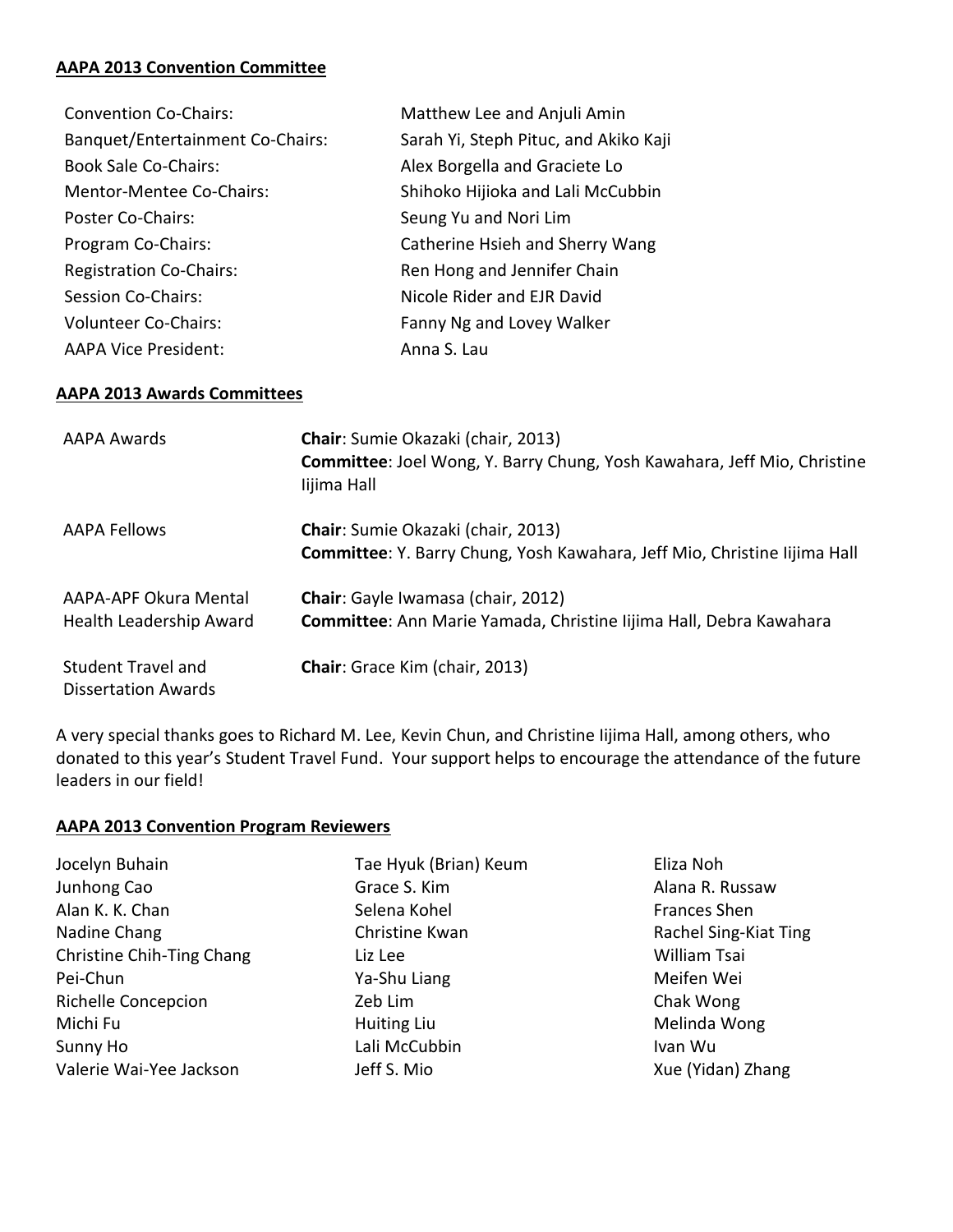#### **AAPA 2013 Convention Committee**

| Matthew Lee and Anjuli Amin           |
|---------------------------------------|
| Sarah Yi, Steph Pituc, and Akiko Kaji |
| Alex Borgella and Graciete Lo         |
| Shihoko Hijioka and Lali McCubbin     |
| Seung Yu and Nori Lim                 |
| Catherine Hsieh and Sherry Wang       |
| Ren Hong and Jennifer Chain           |
| Nicole Rider and EJR David            |
| Fanny Ng and Lovey Walker             |
| Anna S. Lau                           |
|                                       |

#### **AAPA%2013%Awards Committees**

| AAPA Awards                                             | <b>Chair:</b> Sumie Okazaki (chair, 2013)<br>Committee: Joel Wong, Y. Barry Chung, Yosh Kawahara, Jeff Mio, Christine<br>lijima Hall |
|---------------------------------------------------------|--------------------------------------------------------------------------------------------------------------------------------------|
| AAPA Fellows                                            | <b>Chair:</b> Sumie Okazaki (chair, 2013)<br>Committee: Y. Barry Chung, Yosh Kawahara, Jeff Mio, Christine Iijima Hall               |
| AAPA-APF Okura Mental<br>Health Leadership Award        | Chair: Gayle Iwamasa (chair, 2012)<br>Committee: Ann Marie Yamada, Christine Iijima Hall, Debra Kawahara                             |
| <b>Student Travel and</b><br><b>Dissertation Awards</b> | <b>Chair:</b> Grace Kim (chair, 2013)                                                                                                |

A very special thanks goes to Richard M. Lee, Kevin Chun, and Christine Iijima Hall, among others, who donated to this year's Student Travel Fund. Your support helps to encourage the attendance of the future leaders in our field!

#### **AAPA 2013 Convention Program Reviewers**

Tae Hyuk (Brian) Keum Grace S. Kim Selena Kohel Christine Kwan Liz Lee Ya-Shu Liang Zeb Lim Huiting Liu Lali McCubbin Jeff S. Mio

Eliza Noh Alana R. Russaw Frances Shen Rachel Sing-Kiat Ting William Tsai Meifen Wei Chak Wong Melinda Wong Ivan&Wu Xue (Yidan) Zhang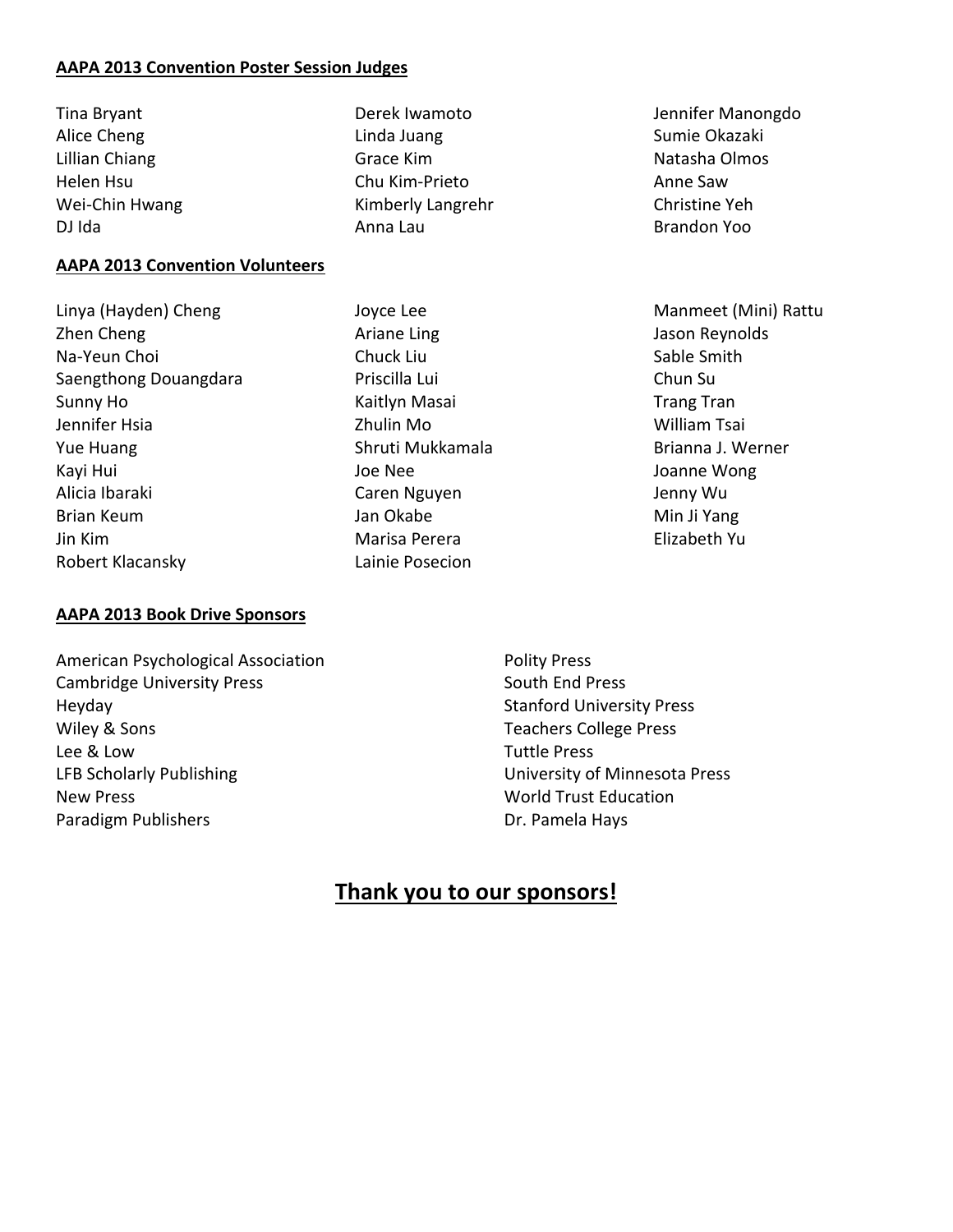#### **AAPA%2013 Convention%Poster%Session%Judges**

Tina&Bryant Alice Cheng Lillian Chiang **Helen Hsu** Wei-Chin Hwang DJ Ida

#### **AAPA 2013 Convention Volunteers**

Linya (Hayden) Cheng Zhen Cheng Na-Yeun Choi Saengthong Douangdara Sunny Ho Jennifer Hsia **Yue Huang** Kayi Hui Alicia&Ibaraki Brian Keum Jin&Kim Robert Klacansky

Derek Iwamoto Linda Juang Grace Kim Chu Kim-Prieto Kimberly Langrehr Anna&Lau

Joyce Lee Ariane Ling Chuck Liu Priscilla Lui Kaitlyn Masai Zhulin Mo Shruti Mukkamala Joe Nee Caren Nguyen Jan Okabe Marisa Perera Lainie Posecion

Jennifer Manongdo Sumie&Okazaki Natasha Olmos Anne&Saw Christine Yeh Brandon&Yoo

Manmeet (Mini) Rattu Jason Reynolds Sable Smith Chun Su **Trang Tran** William Tsai Brianna J. Werner Joanne Wong Jenny Wu Min Ji Yang Elizabeth&Yu

- **AAPA 2013 Book Drive Sponsors**
- American Psychological Association Cambridge University Press Heyday Wiley & Sons Lee&&&Low LFB Scholarly Publishing **New Press** Paradigm Publishers

Polity Press South End Press Stanford University Press Teachers College Press **Tuttle Press** University of Minnesota Press World Trust Education Dr. Pamela Hays

## **Thank you to our sponsors!**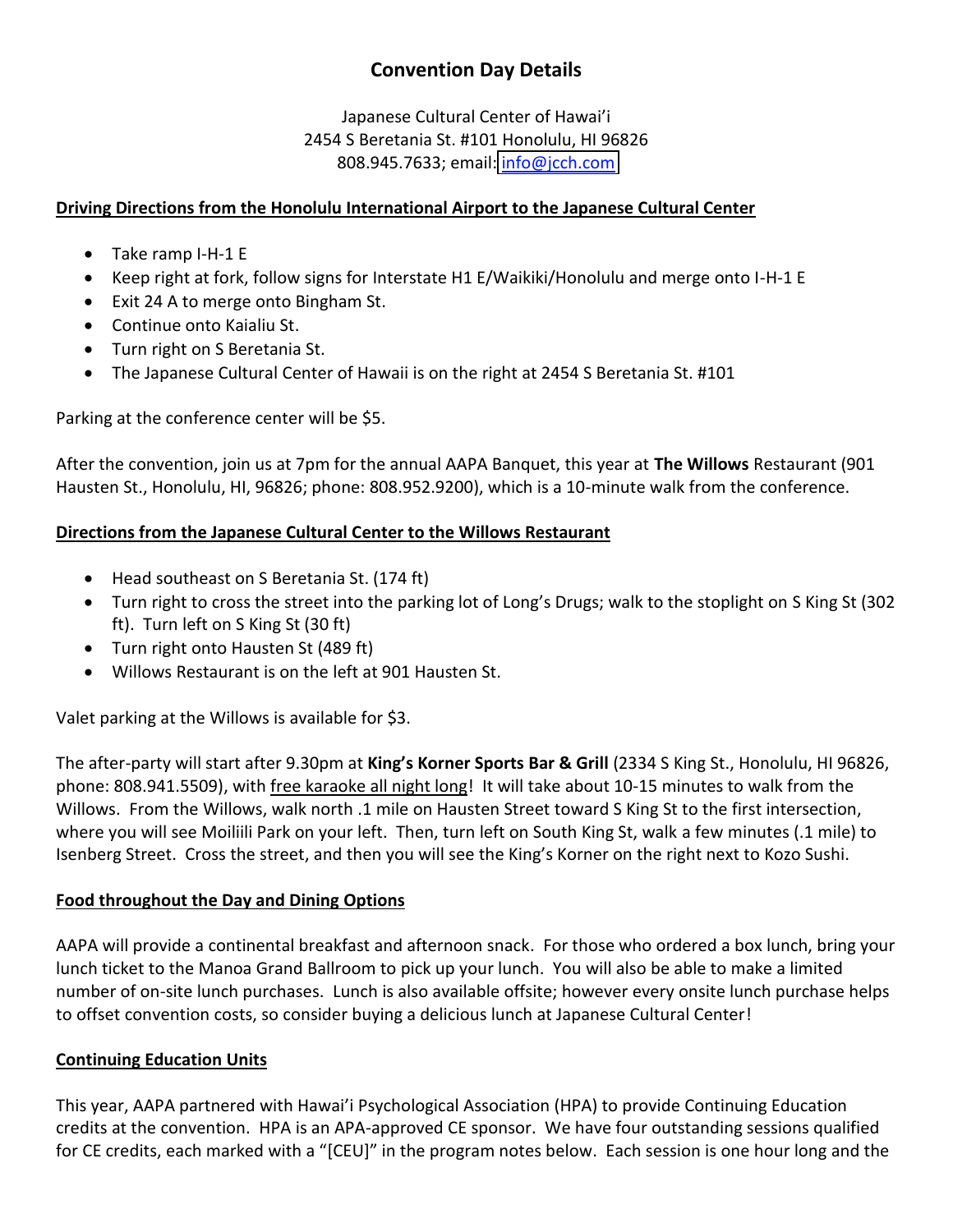## **Convention Day Details**

Japanese Cultural Center of Hawai'i 2454 S Beretania St. #101 Honolulu, HI 96826 808.945.7633; email: info@jcch.com

#### **Driving%Directions from%the%Honolulu International%Airport to%the%Japanese%Cultural%Center**

- $\bullet$  Take ramp I-H-1 E
- Keep right at fork, follow signs for Interstate H1 E/Waikiki/Honolulu and merge onto I-H-1 E
- Exit 24 A to merge onto Bingham St.
- Continue onto Kaialiu St.
- Turn right on S Beretania St.
- The Japanese Cultural Center of Hawaii is on the right at 2454 S Beretania St. #101

Parking at the conference center will be \$5.

After the convention, join us at 7pm for the annual AAPA Banquet, this year at **The Willows** Restaurant (901 Hausten St., Honolulu, HI, 96826; phone: 808.952.9200), which is a 10-minute walk from the conference.

#### **Directions%from%the%Japanese%Cultural%Center%to%the%Willows%Restaurant**

- $\bullet$  Head southeast on S Beretania St. (174 ft)
- Turn right to cross the street into the parking lot of Long's Drugs; walk to the stoplight on S King St (302 ft). Turn left on S King St (30 ft)
- Turn right onto Hausten St (489 ft)
- Willows Restaurant is on the left at 901 Hausten St.

Valet parking at the Willows is available for \$3.

The after-party will start after 9.30pm at King's Korner Sports Bar & Grill (2334 S King St., Honolulu, HI 96826, phone: 808.941.5509), with free karaoke all night long! It will take about 10-15 minutes to walk from the Willows. From the Willows, walk north .1 mile on Hausten Street toward S King St to the first intersection, where you will see Moiliili Park on your left. Then, turn left on South King St, walk a few minutes (.1 mile) to Isenberg Street. Cross the street, and then you will see the King's Korner on the right next to Kozo Sushi.

#### **Food%throughout%the%Day%and%Dining Options**

AAPA will provide a continental breakfast and afternoon snack. For those who ordered a box lunch, bring your lunch ticket to the Manoa Grand Ballroom to pick up your lunch. You will also be able to make a limited number of on-site lunch purchases. Lunch is also available offsite; however every onsite lunch purchase helps to offset convention costs, so consider buying a delicious lunch at Japanese Cultural Center!

#### **Continuing Education Units**

This year, AAPA partnered with Hawai'i Psychological Association (HPA) to provide Continuing Education credits at the convention. HPA is an APA-approved CE sponsor. We have four outstanding sessions qualified for CE credits, each marked with a "[CEU]" in the program notes below. Each session is one hour long and the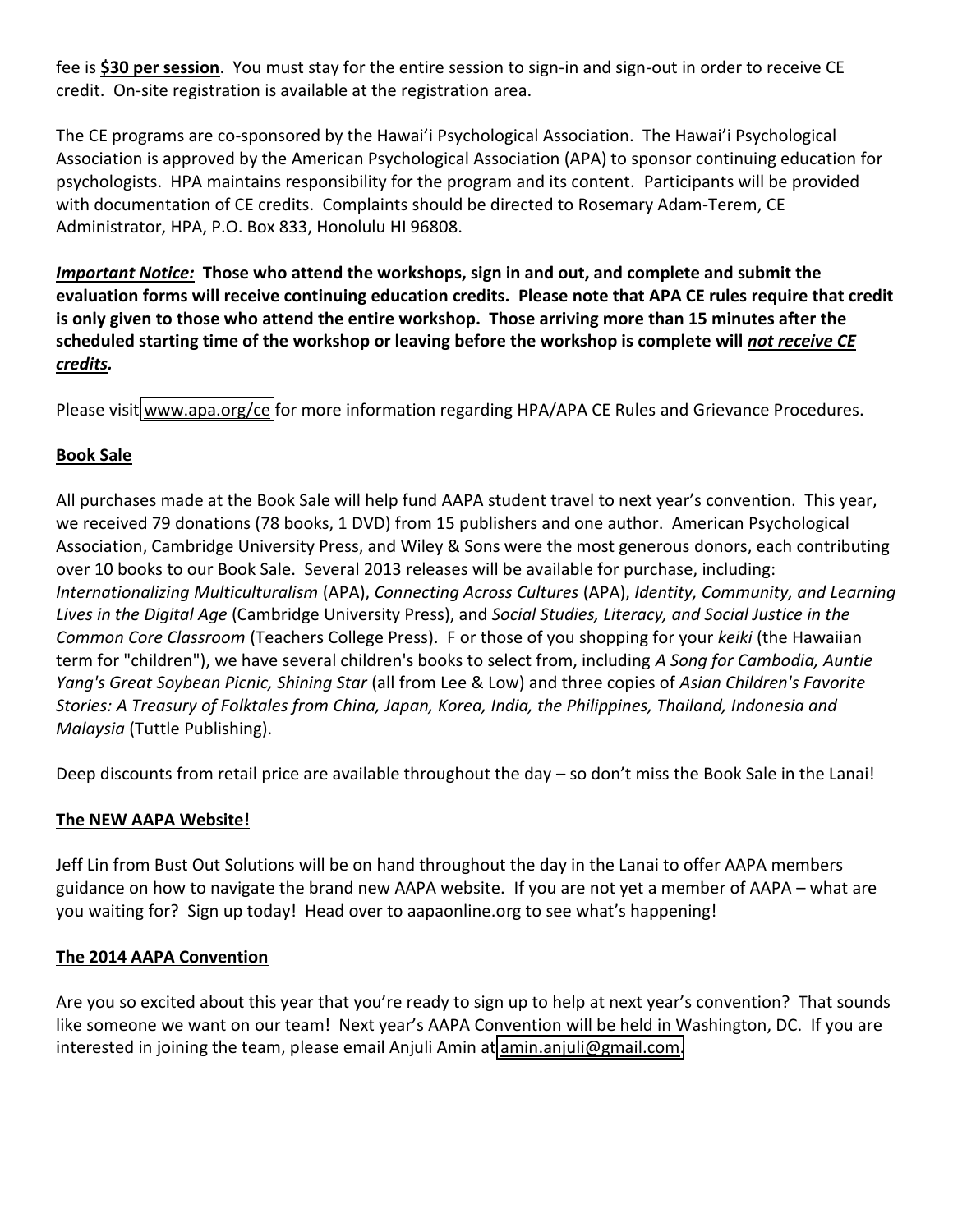fee is \$30 per session. You must stay for the entire session to sign-in and sign-out in order to receive CE credit. On-site registration is available at the registration area.

The CE programs are co-sponsored by the Hawai'i Psychological Association. The Hawai'i Psychological Association is approved by the American Psychological Association (APA) to sponsor continuing education for psychologists. HPA maintains responsibility for the program and its content. Participants will be provided with documentation of CE credits. Complaints should be directed to Rosemary Adam-Terem, CE Administrator, HPA, P.O. Box 833, Honolulu HI 96808.

*Important Notice:* Those who attend the workshops, sign in and out, and complete and submit the evaluation forms will receive continuing education credits. Please note that APA CE rules require that credit is only given to those who attend the entire workshop. Those arriving more than 15 minutes after the scheduled starting time of the workshop or leaving before the workshop is complete will *not receive CE credits.*

Please visit [www.apa.org/ce](http://www.apa.org/ce) for more information regarding HPA/APA CE Rules and Grievance Procedures.

#### **Book%Sale**

All purchases made at the Book Sale will help fund AAPA student travel to next year's convention. This year, we received 79 donations (78 books, 1 DVD) from 15 publishers and one author. American Psychological Association, Cambridge University Press, and Wiley & Sons were the most generous donors, each contributing over 10 books to our Book Sale. Several 2013 releases will be available for purchase, including: *Internationalizing Multiculturalism* (APA), *Connecting Across Cultures* (APA), *Identity, Community, and Learning* Lives in the Digital Age (Cambridge University Press), and Social Studies, Literacy, and Social Justice in the *Common Core Classroom* (Teachers College Press). F or those of you shopping for your *keiki* (the Hawaiian term for "children"), we have several children's books to select from, including A Song for Cambodia, Auntie *Yang's Great Soybean Picnic, Shining Star (all from Lee & Low) and three copies of Asian Children's Favorite Stories:'A'Treasury'of'Folktales'from'China,'Japan,'Korea,'India,'the'Philippines,'Thailand,'Indonesia'and' Malaysia* (Tuttle Publishing).

Deep discounts from retail price are available throughout the day  $-$  so don't miss the Book Sale in the Lanai!

#### **The NEW AAPA Website!**

Jeff Lin from Bust Out Solutions will be on hand throughout the day in the Lanai to offer AAPA members guidance on how to navigate the brand new AAPA website. If you are not yet a member of AAPA – what are you waiting for? Sign up today! Head over to aapaonline.org to see what's happening!

#### **The 2014 AAPA Convention**

Are you so excited about this year that you're ready to sign up to help at next year's convention? That sounds like someone we want on our team! Next year's AAPA Convention will be held in Washington, DC. If you are interested in joining the team, please email Anjuli Amin at  $\frac{1}{2}$ amin.anjuli@gmail.com.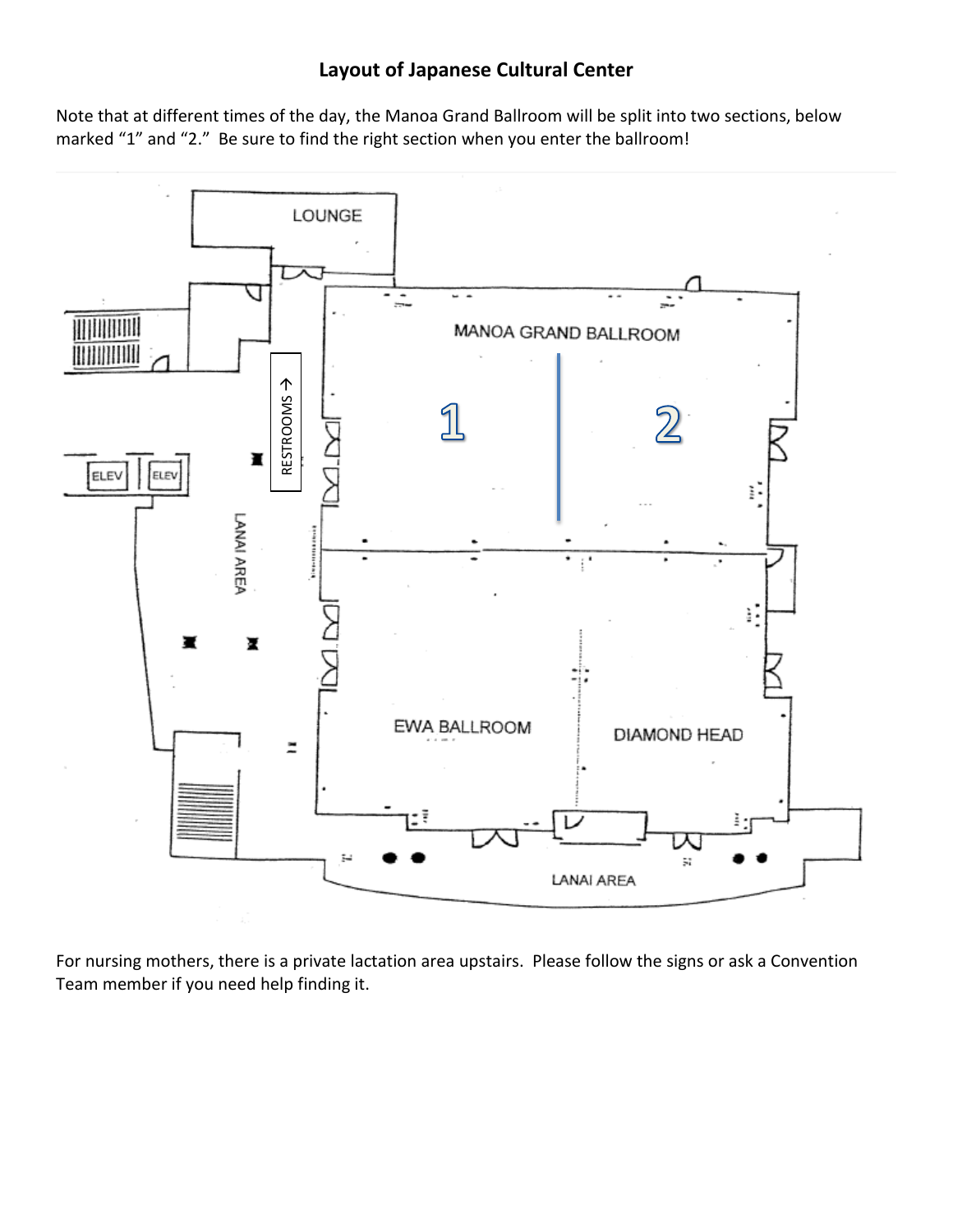## **Layout of Japanese Cultural Center**

Note that at different times of the day, the Manoa Grand Ballroom will be split into two sections, below marked "1" and "2." Be sure to find the right section when you enter the ballroom!



For nursing mothers, there is a private lactation area upstairs. Please follow the signs or ask a Convention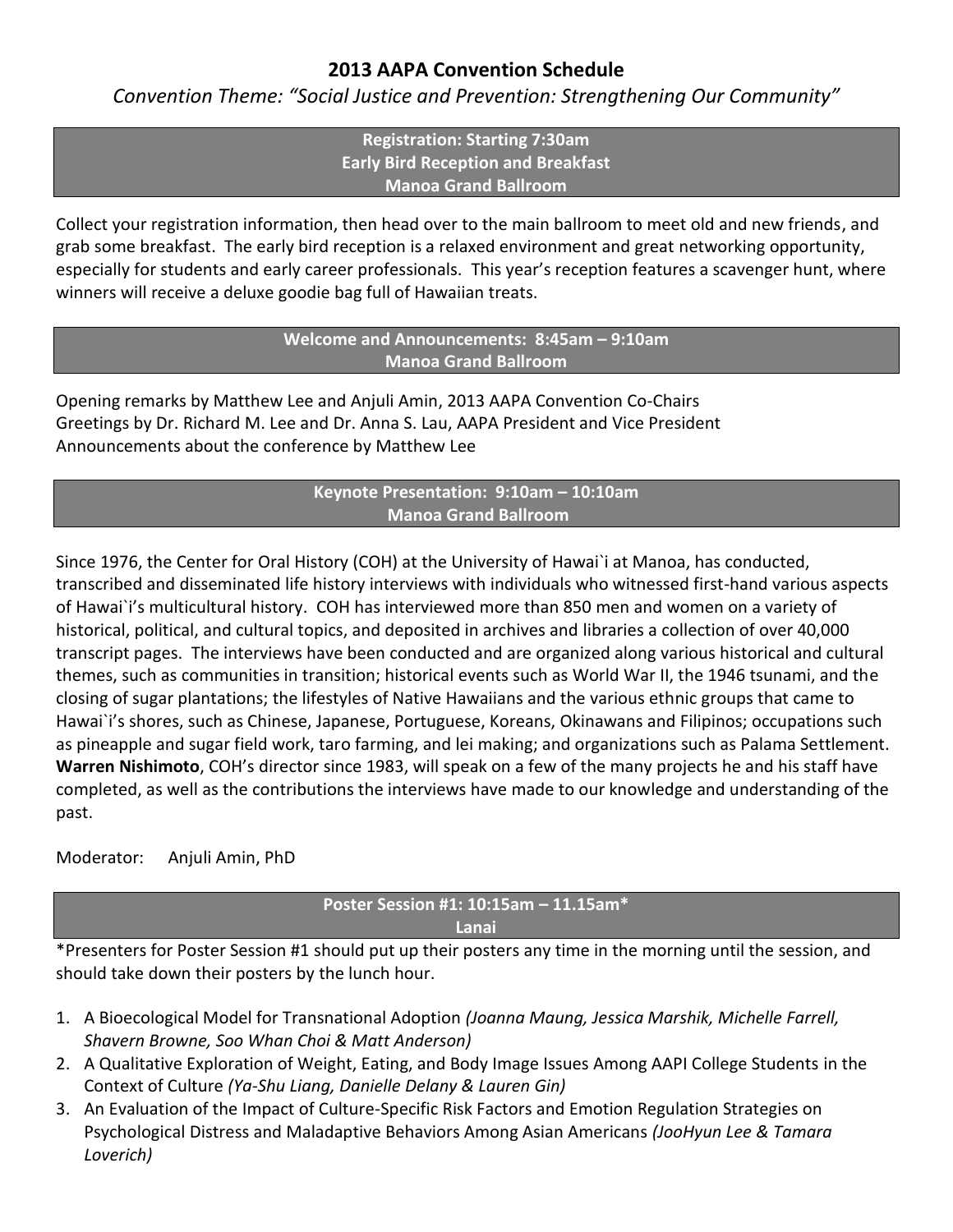### **2013 AAPA Convention Schedule**

*Convention Theme: "Social Justice and Prevention: Strengthening Our Community"* 

**Registration:%Starting%7:30am Early%Bird%Reception%and Breakfast Manoa Grand Ballroom** 

Collect your registration information, then head over to the main ballroom to meet old and new friends, and grab some breakfast. The early bird reception is a relaxed environment and great networking opportunity, especially for students and early career professionals. This year's reception features a scavenger hunt, where winners will receive a deluxe goodie bag full of Hawaiian treats.

> **Welcome and Announcements: 8:45am - 9:10am Manoa%Grand Ballroom**

Opening remarks by Matthew Lee and Anjuli Amin, 2013 AAPA Convention Co-Chairs Greetings by Dr. Richard M. Lee and Dr. Anna S. Lau, AAPA President and Vice President Announcements about the conference by Matthew Lee

#### **Keynote%Presentation:%%9:10am%ʹ 10:10am Manoa%Grand%Ballroom**

Since 1976, the Center for Oral History (COH) at the University of Hawai`i at Manoa, has conducted, transcribed and disseminated life history interviews with individuals who witnessed first-hand various aspects of Hawai`i's multicultural history. COH has interviewed more than 850 men and women on a variety of historical, political, and cultural topics, and deposited in archives and libraries a collection of over 40,000 transcript pages. The interviews have been conducted and are organized along various historical and cultural themes, such as communities in transition; historical events such as World War II, the 1946 tsunami, and the closing of sugar plantations; the lifestyles of Native Hawaiians and the various ethnic groups that came to Hawai`i's shores, such as Chinese, Japanese, Portuguese, Koreans, Okinawans and Filipinos; occupations such as pineapple and sugar field work, taro farming, and lei making; and organizations such as Palama Settlement. **Warren Nishimoto**, COH's director since 1983, will speak on a few of the many projects he and his staff have completed, as well as the contributions the interviews have made to our knowledge and understanding of the past.

Moderator: Anjuli Amin, PhD

## **Poster%Session%#1:%10:15am%ʹ 11.15am\***

**Lanai**

\*Presenters for Poster Session #1 should put up their posters any time in the morning until the session, and should take down their posters by the lunch hour.

- 1. A Bioecological Model for Transnational Adoption (Joanna Maung, Jessica Marshik, Michelle Farrell, *Shavern'Browne,'Soo'Whan'Choi'&'Matt'Anderson)*
- 2. A Qualitative Exploration of Weight, Eating, and Body Image Issues Among AAPI College Students in the Context of Culture (Ya-Shu Liang, Danielle Delany & Lauren Gin)
- 3. An Evaluation of the Impact of Culture-Specific Risk Factors and Emotion Regulation Strategies on Psychological Distress and Maladaptive Behaviors Among Asian Americans (JooHyun Lee & Tamara' *Loverich)*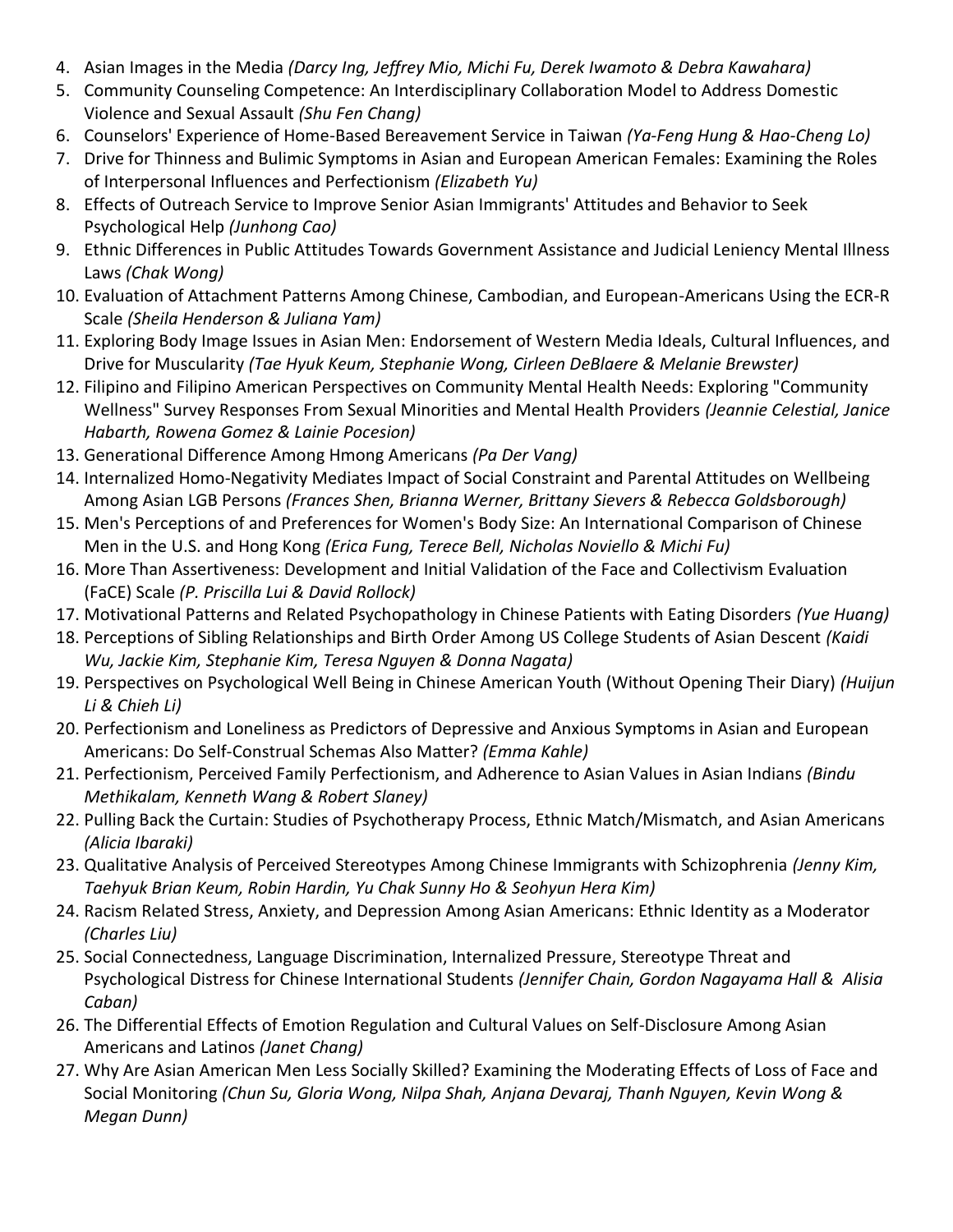- 4. Asian Images in the Media (Darcy Ing, Jeffrey Mio, Michi Fu, Derek Iwamoto & Debra Kawahara)
- 5. Community Counseling Competence: An Interdisciplinary Collaboration Model to Address Domestic Violence&and&Sexual&Assault&*(Shu'Fen'Chang)*
- 6. Counselors' Experience of Home-Based Bereavement Service in Taiwan (Ya-Feng Hung & Hao-Cheng Lo)
- 7. Drive for Thinness and Bulimic Symptoms in Asian and European American Females: Examining the Roles of Interpersonal Influences and Perfectionism (Elizabeth Yu)
- 8. Effects of Outreach Service to Improve Senior Asian Immigrants' Attitudes and Behavior to Seek Psychological&Help&*(Junhong'Cao)*
- 9. Ethnic Differences in Public Attitudes Towards Government Assistance and Judicial Leniency Mental Illness Laws (Chak Wong)
- 10. Evaluation of Attachment Patterns Among Chinese, Cambodian, and European-Americans Using the ECR-R Scale&*(Sheila'Henderson'&'Juliana'Yam)*
- 11. Exploring Body Image Issues in Asian Men: Endorsement of Western Media Ideals, Cultural Influences, and Drive for Muscularity (Tae Hyuk Keum, Stephanie Wong, Cirleen DeBlaere & Melanie Brewster)
- 12. Filipino and Filipino American Perspectives on Community Mental Health Needs: Exploring "Community Wellness" Survey Responses From Sexual Minorities and Mental Health Providers (Jeannie Celestial, Janice *Habarth,'Rowena'Gomez'&'Lainie'Pocesion)*
- 13. Generational Difference Among Hmong Americans (Pa Der Vang)
- 14. Internalized Homo-Negativity Mediates Impact of Social Constraint and Parental Attitudes on Wellbeing Among Asian LGB Persons (Frances Shen, Brianna Werner, Brittany Sievers & Rebecca Goldsborough)
- 15. Men's Perceptions of and Preferences for Women's Body Size: An International Comparison of Chinese Men in the U.S. and Hong Kong (*Erica Fung, Terece Bell, Nicholas Noviello & Michi Fu)*
- 16. More Than Assertiveness: Development and Initial Validation of the Face and Collectivism Evaluation (FaCE)&Scale&*(P.'Priscilla'Lui'&'David'Rollock)*
- 17. Motivational Patterns and Related Psychopathology in Chinese Patients with Eating Disorders (Yue Huang)
- 18. Perceptions of Sibling Relationships and Birth Order Among US College Students of Asian Descent (Kaidi *Wu,'Jackie'Kim,'Stephanie'Kim,'Teresa'Nguyen'&'Donna'Nagata)*
- 19. Perspectives on Psychological Well Being in Chinese American Youth (Without Opening Their Diary) (Huijun *Li'&'Chieh'Li)*
- 20. Perfectionism and Loneliness as Predictors of Depressive and Anxious Symptoms in Asian and European Americans: Do Self-Construal Schemas Also Matter? (Emma Kahle)
- 21. Perfectionism, Perceived Family Perfectionism, and Adherence to Asian Values in Asian Indians (Bindu *Methikalam,'Kenneth'Wang'&'Robert'Slaney)*
- 22. Pulling Back the Curtain: Studies of Psychotherapy Process, Ethnic Match/Mismatch, and Asian Americans *(Alicia'Ibaraki)*
- 23. Qualitative Analysis of Perceived Stereotypes Among Chinese Immigrants with Schizophrenia (Jenny Kim, *Taehyuk'Brian'Keum,'Robin'Hardin,'Yu'Chak'Sunny'Ho'&'Seohyun'Hera'Kim)*
- 24. Racism Related Stress, Anxiety, and Depression Among Asian Americans: Ethnic Identity as a Moderator *(Charles'Liu)*
- 25. Social Connectedness, Language Discrimination, Internalized Pressure, Stereotype Threat and Psychological Distress for Chinese International Students (Jennifer Chain, Gordon Nagayama Hall & Alisia *Caban)*
- 26. The Differential Effects of Emotion Regulation and Cultural Values on Self-Disclosure Among Asian Americans and Latinos (Janet Chang)
- 27. Why Are Asian American Men Less Socially Skilled? Examining the Moderating Effects of Loss of Face and Social Monitoring (Chun Su, Gloria Wong, Nilpa Shah, Anjana Devaraj, Thanh Nguyen, Kevin Wong & *Megan'Dunn)*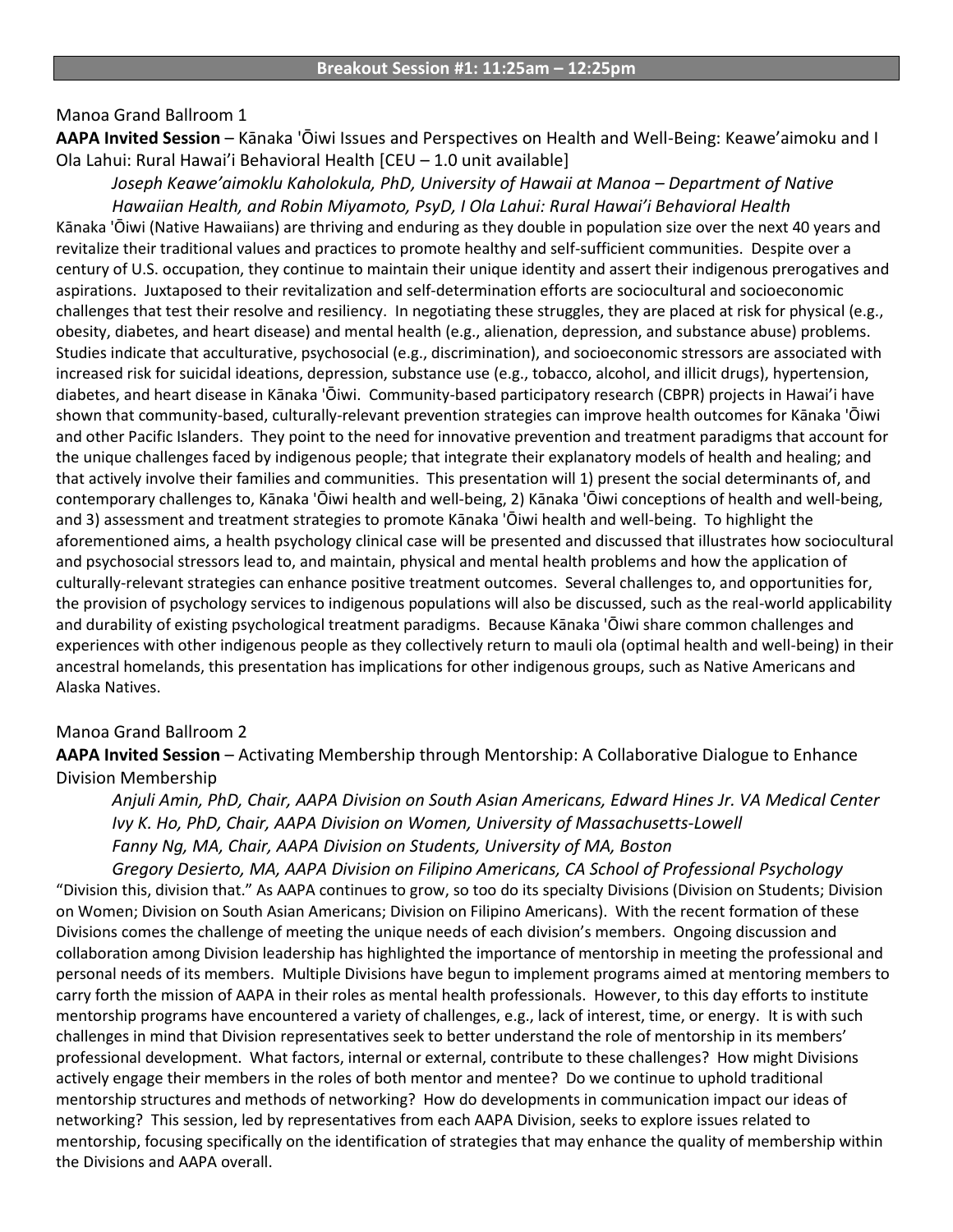#### Manoa Grand Ballroom 1

**AAPA Invited Session** – Kānaka 'Ōiwi Issues and Perspectives on Health and Well-Being: Keawe'aimoku and I Ola Lahui: Rural Hawai'i Behavioral Health [CEU – 1.0 unit available]

*:ŽƐĞƉŚ<ĞĂǁĞ͛aimoklu'Kaholokula,'PhD,'University'of'Hawaii'at'Manoa'ʹ Department'of'Native* Hawaiian Health, and Robin Miyamoto, PsyD, I Ola Lahui: Rural Hawai'i Behavioral Health

Kānaka 'Ōiwi (Native Hawaiians) are thriving and enduring as they double in population size over the next 40 years and revitalize their traditional values and practices to promote healthy and self-sufficient communities. Despite over a century of U.S. occupation, they continue to maintain their unique identity and assert their indigenous prerogatives and aspirations. Juxtaposed to their revitalization and self-determination efforts are sociocultural and socioeconomic challenges that test their resolve and resiliency. In negotiating these struggles, they are placed at risk for physical (e.g., obesity, diabetes, and heart disease) and mental health (e.g., alienation, depression, and substance abuse) problems. Studies indicate that acculturative, psychosocial (e.g., discrimination), and socioeconomic stressors are associated with increased risk for suicidal ideations, depression, substance use (e.g., tobacco, alcohol, and illicit drugs), hypertension, diabetes, and heart disease in Kānaka 'Ōiwi. Community-based participatory research (CBPR) projects in Hawai'i have shown that community-based, culturally-relevant prevention strategies can improve health outcomes for Kānaka 'Ōiwi and other Pacific Islanders. They point to the need for innovative prevention and treatment paradigms that account for the unique challenges faced by indigenous people; that integrate their explanatory models of health and healing; and that actively involve their families and communities. This presentation will 1) present the social determinants of, and contemporary challenges to, Kānaka 'Ōiwi health and well-being, 2) Kānaka 'Ōiwi conceptions of health and well-being, and 3) assessment and treatment strategies to promote Kānaka 'Ōiwi health and well-being. To highlight the aforementioned aims, a health psychology clinical case will be presented and discussed that illustrates how sociocultural and psychosocial stressors lead to, and maintain, physical and mental health problems and how the application of culturally-relevant strategies can enhance positive treatment outcomes. Several challenges to, and opportunities for, the provision of psychology services to indigenous populations will also be discussed, such as the real-world applicability and durability of existing psychological treatment paradigms. Because Kānaka 'Ōiwi share common challenges and experiences with other indigenous people as they collectively return to mauli ola (optimal health and well-being) in their ancestral homelands, this presentation has implications for other indigenous groups, such as Native Americans and Alaska Natives.

#### Manoa Grand Ballroom 2

**AAPA Invited Session** – Activating Membership through Mentorship: A Collaborative Dialogue to Enhance Division Membership

*Anjuli'Amin,'PhD,'Chair,'AAPA'Division'on'South'Asian'Americans,'Edward'Hines'Jr.'VA'Medical'Center Ivy'K.'Ho,'PhD,'Chair,'AAPA'Division'on Women,'University'of'Massachusetts:Lowell* Fanny Ng, MA, Chair, AAPA Division on Students, University of MA, Boston

*Gregory'Desierto,'MA,'AAPA'Division'on'Filipino'Americans,'CA'School'of'Professional'Psychology* "Division this, division that." As AAPA continues to grow, so too do its specialty Divisions (Division on Students; Division on Women; Division on South Asian Americans; Division on Filipino Americans). With the recent formation of these Divisions comes the challenge of meeting the unique needs of each division's members. Ongoing discussion and collaboration among Division leadership has highlighted the importance of mentorship in meeting the professional and personal needs of its members. Multiple Divisions have begun to implement programs aimed at mentoring members to carry forth the mission of AAPA in their roles as mental health professionals. However, to this day efforts to institute mentorship programs have encountered a variety of challenges, e.g., lack of interest, time, or energy. It is with such challenges in mind that Division representatives seek to better understand the role of mentorship in its members' professional development. What factors, internal or external, contribute to these challenges? How might Divisions actively engage their members in the roles of both mentor and mentee? Do we continue to uphold traditional mentorship structures and methods of networking? How do developments in communication impact our ideas of networking? This session, led by representatives from each AAPA Division, seeks to explore issues related to mentorship, focusing specifically on the identification of strategies that may enhance the quality of membership within the Divisions and AAPA overall.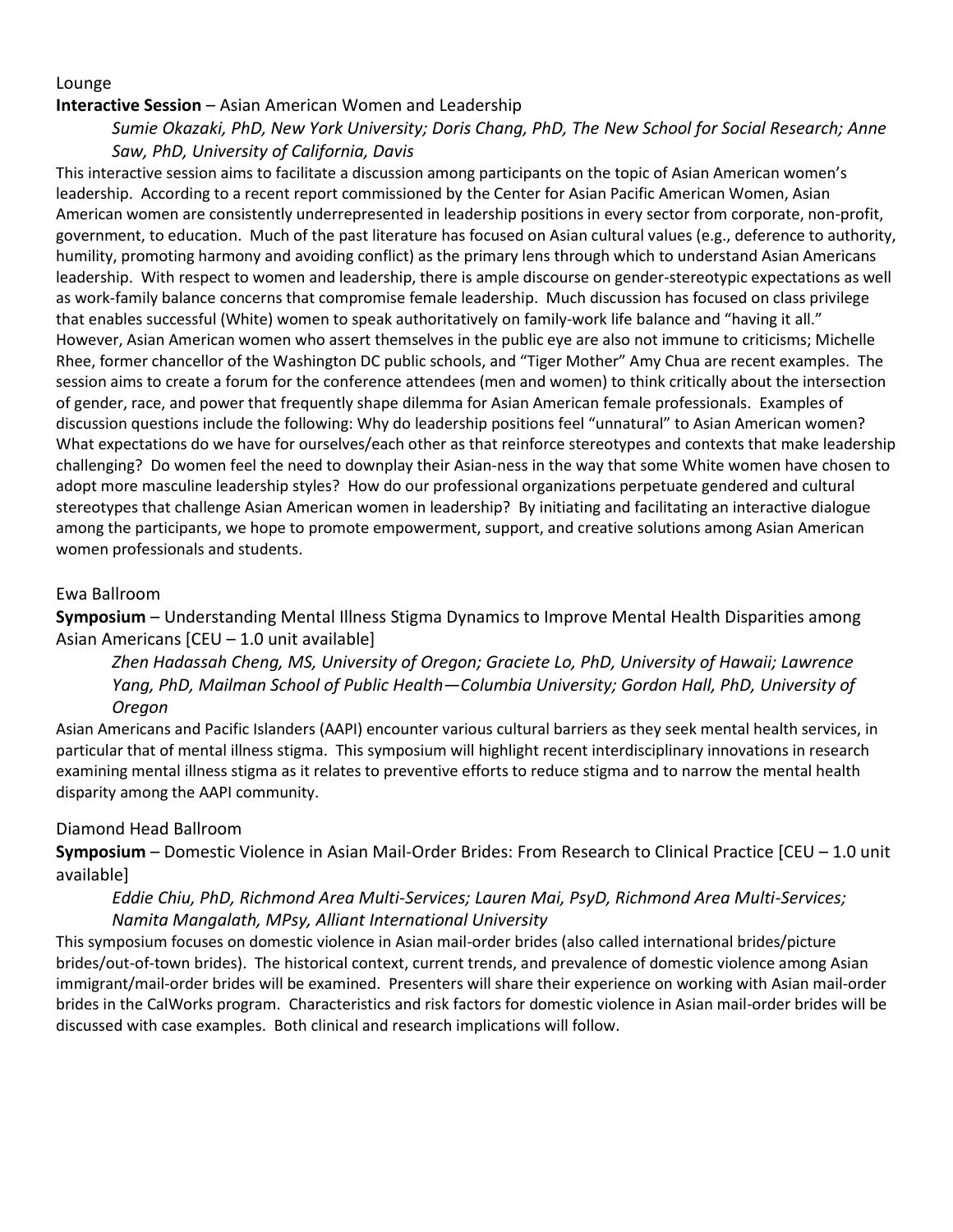#### Lounge

#### **Interactive Session** – Asian American Women and Leadership

*Sumie'Okazaki,'PhD,'New'York'University;'Doris'Chang,'PhD,'The New'School'for'Social'Research;'Anne' Saw,'PhD,'University'of'California,'Davis*

This interactive session aims to facilitate a discussion among participants on the topic of Asian American women's leadership. According to a recent report commissioned by the Center for Asian Pacific American Women, Asian American women are consistently underrepresented in leadership positions in every sector from corporate, non-profit, government, to education. Much of the past literature has focused on Asian cultural values (e.g., deference to authority, humility, promoting harmony and avoiding conflict) as the primary lens through which to understand Asian Americans leadership. With respect to women and leadership, there is ample discourse on gender-stereotypic expectations as well as work-family balance concerns that compromise female leadership. Much discussion has focused on class privilege that enables successful (White) women to speak authoritatively on family-work life balance and "having it all." However, Asian American women who assert themselves in the public eye are also not immune to criticisms; Michelle Rhee, former chancellor of the Washington DC public schools, and "Tiger Mother" Amy Chua are recent examples. The session aims to create a forum for the conference attendees (men and women) to think critically about the intersection of gender, race, and power that frequently shape dilemma for Asian American female professionals. Examples of discussion questions include the following: Why do leadership positions feel "unnatural" to Asian American women? What expectations do we have for ourselves/each other as that reinforce stereotypes and contexts that make leadership challenging? Do women feel the need to downplay their Asian-ness in the way that some White women have chosen to adopt more masculine leadership styles? How do our professional organizations perpetuate gendered and cultural stereotypes that challenge Asian American women in leadership? By initiating and facilitating an interactive dialogue among the participants, we hope to promote empowerment, support, and creative solutions among Asian American women professionals and students.

#### Ewa&Ballroom

**Symposium** – Understanding Mental Illness Stigma Dynamics to Improve Mental Health Disparities among Asian Americans  $[CEU - 1.0$  unit available]

*Zhen Hadassah'Cheng,'MS,'University'of'Oregon;'Graciete'Lo,'PhD,'University'of'Hawaii;'Lawrence' Yang, PhD, Mailman School of Public Health* $-C$ olumbia University; Gordon Hall, PhD, University of *Oregon*

Asian Americans and Pacific Islanders (AAPI) encounter various cultural barriers as they seek mental health services, in particular that of mental illness stigma. This symposium will highlight recent interdisciplinary innovations in research examining mental illness stigma as it relates to preventive efforts to reduce stigma and to narrow the mental health disparity among the AAPI community.

#### Diamond Head Ballroom

**Symposium** – Domestic Violence in Asian Mail-Order Brides: From Research to Clinical Practice [CEU – 1.0 unit available]

#### Eddie Chiu, PhD, Richmond Area Multi-Services; Lauren Mai, PsyD, Richmond Area Multi-Services; *Namita'Mangalath,'MPsy,'Alliant'International'University*

This symposium focuses on domestic violence in Asian mail-order brides (also called international brides/picture brides/out-of-town brides). The historical context, current trends, and prevalence of domestic violence among Asian immigrant/mail-order brides will be examined. Presenters will share their experience on working with Asian mail-order brides in the CalWorks program. Characteristics and risk factors for domestic violence in Asian mail-order brides will be discussed with case examples. Both clinical and research implications will follow.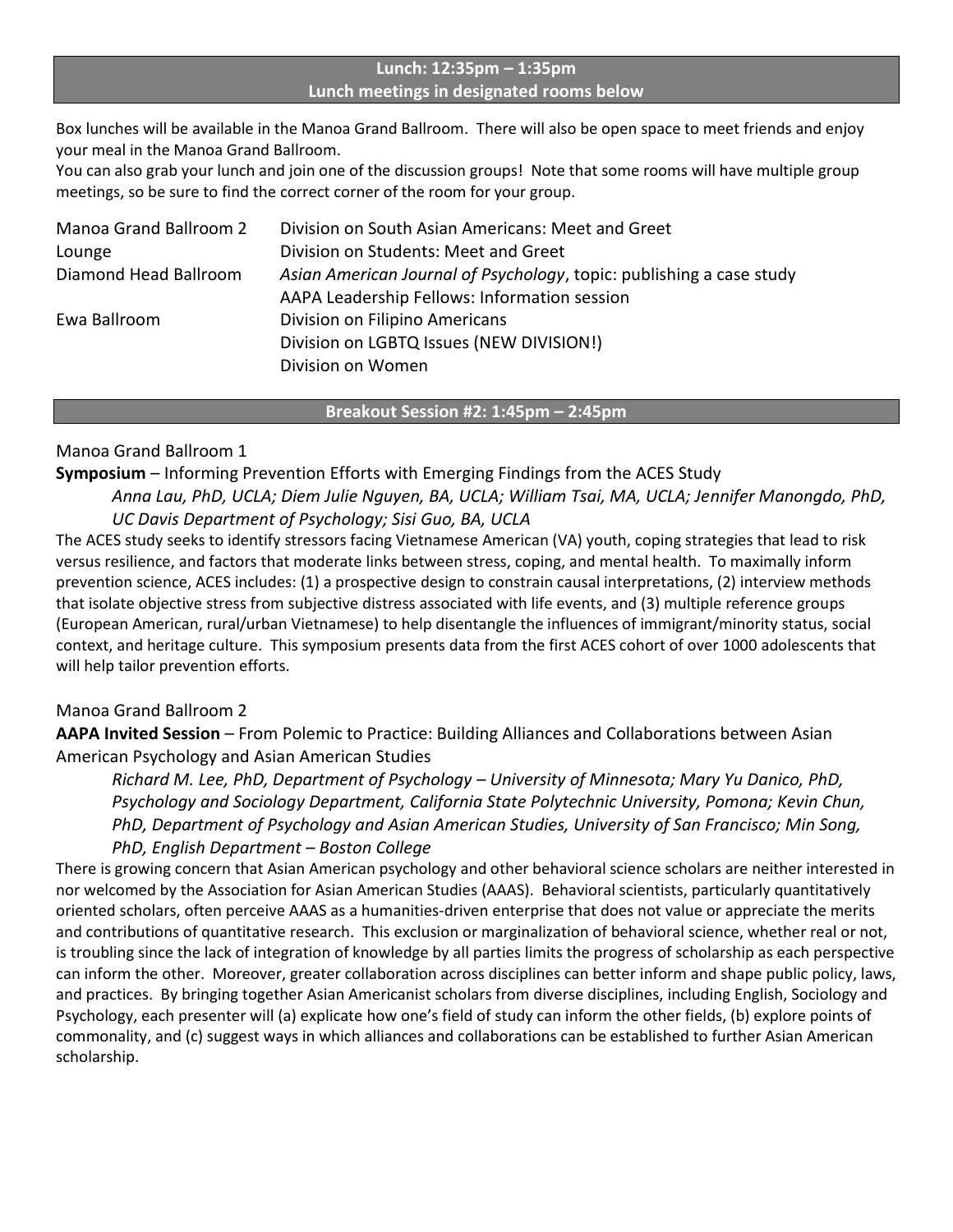#### **Lunch:%12:35pm%ʹ 1:35pm Lunch meetings in designated rooms below**

Box lunches will be available in the Manoa Grand Ballroom. There will also be open space to meet friends and enjoy your meal in the Manoa Grand Ballroom.

You can also grab your lunch and join one of the discussion groups! Note that some rooms will have multiple group meetings, so be sure to find the correct corner of the room for your group.

| Manoa Grand Ballroom 2 | Division on South Asian Americans: Meet and Greet                    |
|------------------------|----------------------------------------------------------------------|
| Lounge                 | Division on Students: Meet and Greet                                 |
| Diamond Head Ballroom  | Asian American Journal of Psychology, topic: publishing a case study |
|                        | AAPA Leadership Fellows: Information session                         |
| Ewa Ballroom           | Division on Filipino Americans                                       |
|                        | Division on LGBTQ Issues (NEW DIVISION!)                             |
|                        | Division on Women                                                    |
|                        |                                                                      |

**Breakout%Session%#2:%1:45pm%ʹ 2:45pm**

#### Manoa Grand Ballroom 1

**Symposium** – Informing Prevention Efforts with Emerging Findings from the ACES Study *Anna'Lau,'PhD,'UCLA;'Diem'Julie'Nguyen,'BA,'UCLA;'William'Tsai,'MA,'UCLA;'Jennifer'Manongdo,'PhD,' UC'Davis'Department'of'Psychology;'Sisi Guo,'BA,'UCLA*

The ACES study seeks to identify stressors facing Vietnamese American (VA) youth, coping strategies that lead to risk versus resilience, and factors that moderate links between stress, coping, and mental health. To maximally inform prevention science, ACES includes: (1) a prospective design to constrain causal interpretations, (2) interview methods that isolate objective stress from subjective distress associated with life events, and (3) multiple reference groups (European American, rural/urban Vietnamese) to help disentangle the influences of immigrant/minority status, social context, and heritage culture. This symposium presents data from the first ACES cohort of over 1000 adolescents that will help tailor prevention efforts.

#### Manoa Grand Ballroom 2

AAPA Invited Session - From Polemic to Practice: Building Alliances and Collaborations between Asian American Psychology and Asian American Studies

*Richard'M.'Lee,'PhD,'Department'of'Psychology'ʹ University'of'Minnesota;'Mary'Yu'Danico,'PhD,' Psychology'and'Sociology'Department,'California'State'Polytechnic'University,'Pomona;'Kevin'Chun,'* PhD, Department of Psychology and Asian American Studies, University of San Francisco; Min Song, *PhD,'English'Department'ʹ Boston'College*

There is growing concern that Asian American psychology and other behavioral science scholars are neither interested in nor welcomed by the Association for Asian American Studies (AAAS). Behavioral scientists, particularly quantitatively oriented scholars, often perceive AAAS as a humanities-driven enterprise that does not value or appreciate the merits and contributions of quantitative research. This exclusion or marginalization of behavioral science, whether real or not, is troubling since the lack of integration of knowledge by all parties limits the progress of scholarship as each perspective can inform the other. Moreover, greater collaboration across disciplines can better inform and shape public policy, laws, and practices. By bringing together Asian Americanist scholars from diverse disciplines, including English, Sociology and Psychology, each presenter will (a) explicate how one's field of study can inform the other fields, (b) explore points of commonality, and (c) suggest ways in which alliances and collaborations can be established to further Asian American scholarship.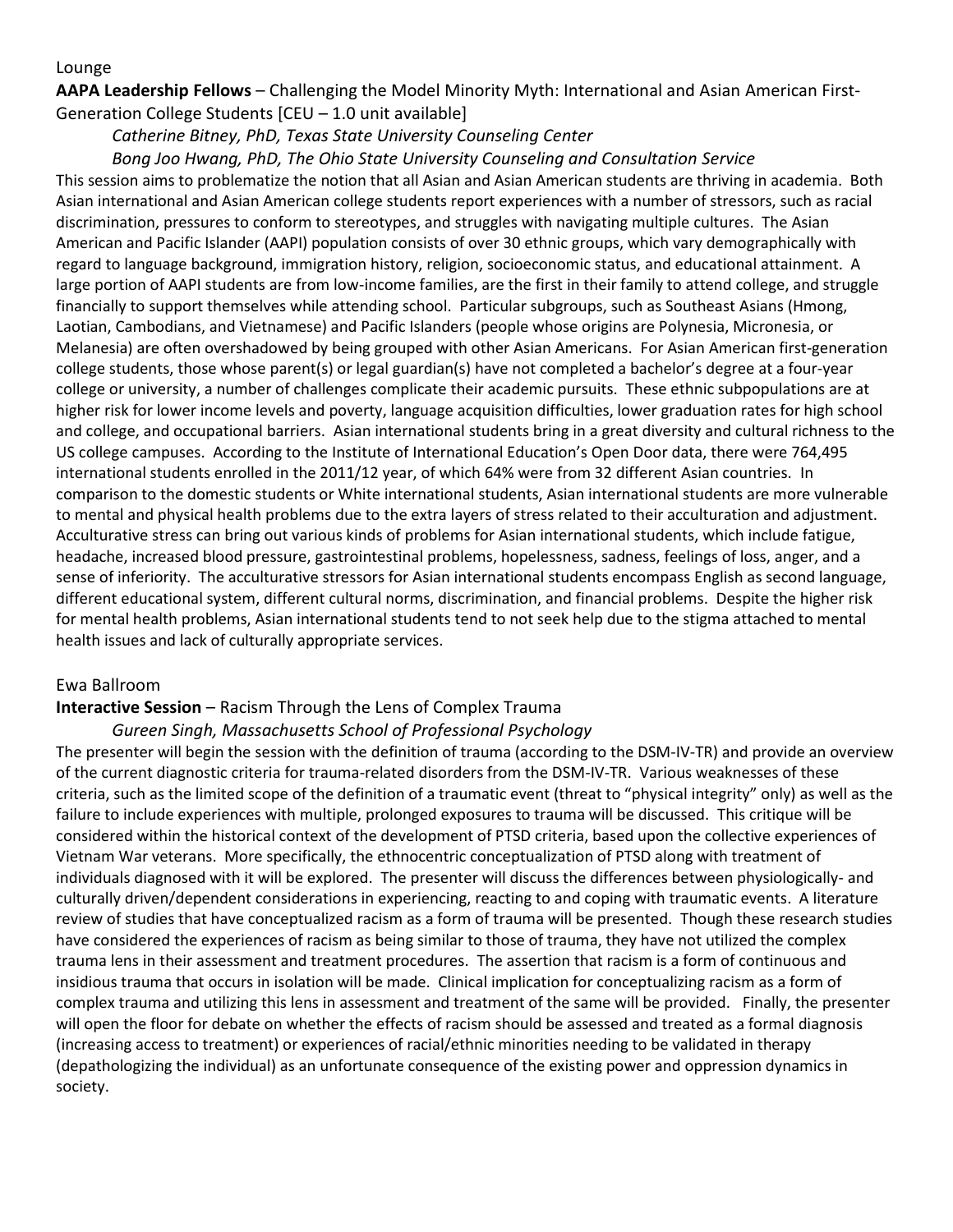#### **AAPA Leadership Fellows** – Challenging the Model Minority Myth: International and Asian American First-Generation College Students  $[CEU - 1.0$  unit available]

#### Catherine Bitney, PhD, Texas State University Counseling Center

#### *Bong'Joo'Hwang,'PhD,'The'Ohio'State'University'Counseling'and'Consultation Service*

This session aims to problematize the notion that all Asian and Asian American students are thriving in academia. Both Asian international and Asian American college students report experiences with a number of stressors, such as racial discrimination, pressures to conform to stereotypes, and struggles with navigating multiple cultures. The Asian American and Pacific Islander (AAPI) population consists of over 30 ethnic groups, which vary demographically with regard to language background, immigration history, religion, socioeconomic status, and educational attainment. A large portion of AAPI students are from low-income families, are the first in their family to attend college, and struggle financially to support themselves while attending school. Particular subgroups, such as Southeast Asians (Hmong, Laotian, Cambodians, and Vietnamese) and Pacific Islanders (people whose origins are Polynesia, Micronesia, or Melanesia) are often overshadowed by being grouped with other Asian Americans. For Asian American first-generation college students, those whose parent(s) or legal guardian(s) have not completed a bachelor's degree at a four-year college or university, a number of challenges complicate their academic pursuits. These ethnic subpopulations are at higher risk for lower income levels and poverty, language acquisition difficulties, lower graduation rates for high school and college, and occupational barriers. Asian international students bring in a great diversity and cultural richness to the US college campuses. According to the Institute of International Education's Open Door data, there were 764,495 international students enrolled in the 2011/12 year, of which 64% were from 32 different Asian countries. In comparison to the domestic students or White international students, Asian international students are more vulnerable to mental and physical health problems due to the extra layers of stress related to their acculturation and adjustment. Acculturative stress can bring out various kinds of problems for Asian international students, which include fatigue, headache, increased blood pressure, gastrointestinal problems, hopelessness, sadness, feelings of loss, anger, and a sense of inferiority. The acculturative stressors for Asian international students encompass English as second language, different educational system, different cultural norms, discrimination, and financial problems. Despite the higher risk for mental health problems, Asian international students tend to not seek help due to the stigma attached to mental health issues and lack of culturally appropriate services.

#### Ewa&Ballroom

#### **Interactive Session - Racism Through the Lens of Complex Trauma**

#### *Gureen'Singh,'Massachusetts'School'of'Professional'Psychology*

The presenter will begin the session with the definition of trauma (according to the DSM-IV-TR) and provide an overview of the current diagnostic criteria for trauma-related disorders from the DSM-IV-TR. Various weaknesses of these criteria, such as the limited scope of the definition of a traumatic event (threat to "physical integrity" only) as well as the failure to include experiences with multiple, prolonged exposures to trauma will be discussed. This critique will be considered within the historical context of the development of PTSD criteria, based upon the collective experiences of Vietnam War veterans. More specifically, the ethnocentric conceptualization of PTSD along with treatment of individuals diagnosed with it will be explored. The presenter will discuss the differences between physiologically- and culturally driven/dependent considerations in experiencing, reacting to and coping with traumatic events. A literature review of studies that have conceptualized racism as a form of trauma will be presented. Though these research studies have considered the experiences of racism as being similar to those of trauma, they have not utilized the complex trauma lens in their assessment and treatment procedures. The assertion that racism is a form of continuous and insidious trauma that occurs in isolation will be made. Clinical implication for conceptualizing racism as a form of complex trauma and utilizing this lens in assessment and treatment of the same will be provided. Finally, the presenter will open the floor for debate on whether the effects of racism should be assessed and treated as a formal diagnosis (increasing access to treatment) or experiences of racial/ethnic minorities needing to be validated in therapy (depathologizing the individual) as an unfortunate consequence of the existing power and oppression dynamics in society.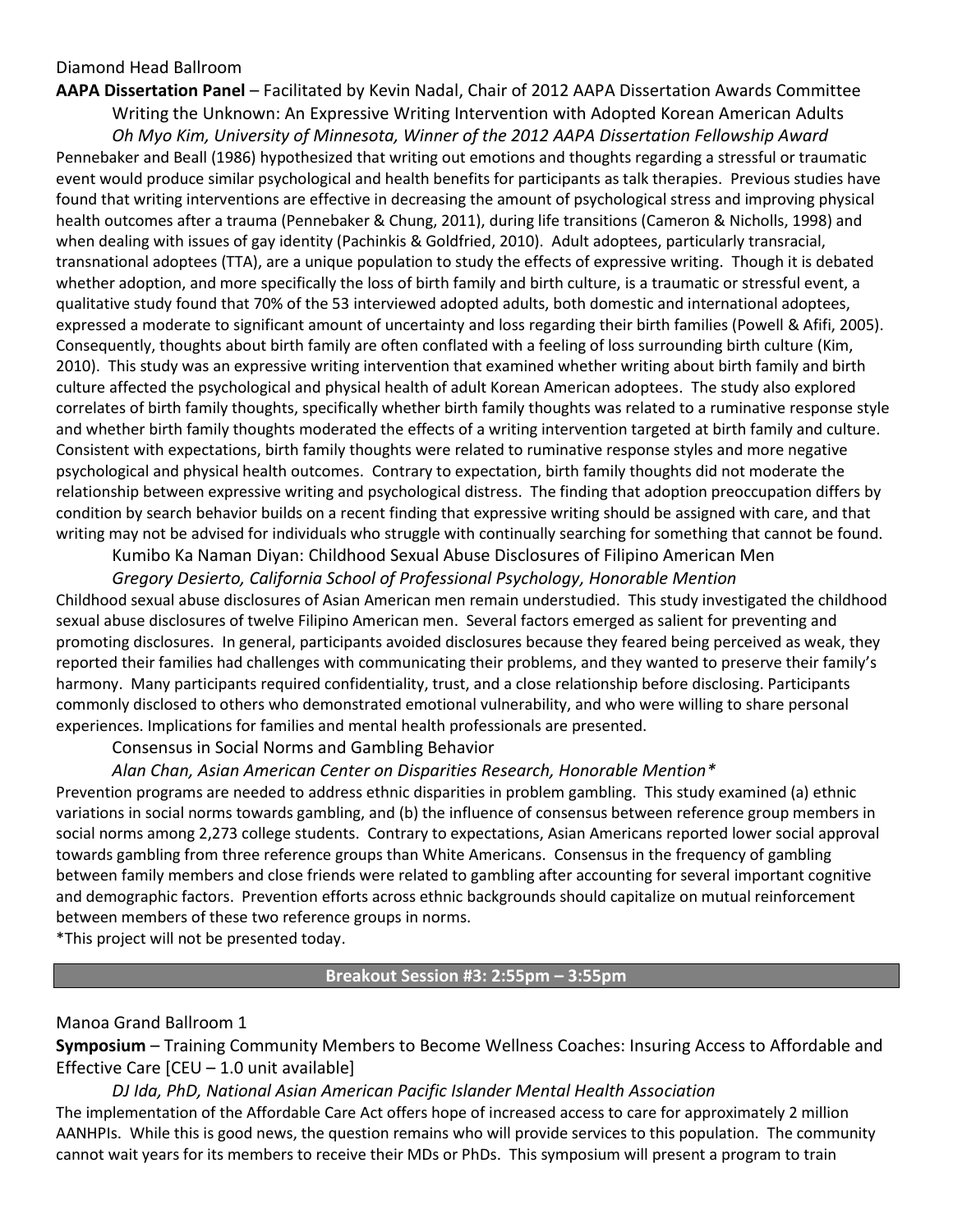#### Diamond Head Ballroom

**AAPA Dissertation Panel – Facilitated by Kevin Nadal, Chair of 2012 AAPA Dissertation Awards Committee** Writing the Unknown: An Expressive Writing Intervention with Adopted Korean American Adults

*Oh'Myo'Kim,'University'of'Minnesota,'Winner'of'the'2012'AAPA'Dissertation'Fellowship'Award* Pennebaker and Beall (1986) hypothesized that writing out emotions and thoughts regarding a stressful or traumatic event would produce similar psychological and health benefits for participants as talk therapies. Previous studies have found that writing interventions are effective in decreasing the amount of psychological stress and improving physical health outcomes after a trauma (Pennebaker & Chung, 2011), during life transitions (Cameron & Nicholls, 1998) and when dealing with issues of gay identity (Pachinkis & Goldfried, 2010). Adult adoptees, particularly transracial, transnational adoptees (TTA), are a unique population to study the effects of expressive writing. Though it is debated whether adoption, and more specifically the loss of birth family and birth culture, is a traumatic or stressful event, a qualitative study found that 70% of the 53 interviewed adopted adults, both domestic and international adoptees, expressed a moderate to significant amount of uncertainty and loss regarding their birth families (Powell & Afifi, 2005). Consequently, thoughts about birth family are often conflated with a feeling of loss surrounding birth culture (Kim, 2010). This study was an expressive writing intervention that examined whether writing about birth family and birth culture affected the psychological and physical health of adult Korean American adoptees. The study also explored correlates of birth family thoughts, specifically whether birth family thoughts was related to a ruminative response style and whether birth family thoughts moderated the effects of a writing intervention targeted at birth family and culture. Consistent with expectations, birth family thoughts were related to ruminative response styles and more negative psychological and physical health outcomes. Contrary to expectation, birth family thoughts did not moderate the relationship between expressive writing and psychological distress. The finding that adoption preoccupation differs by condition by search behavior builds on a recent finding that expressive writing should be assigned with care, and that writing may not be advised for individuals who struggle with continually searching for something that cannot be found.

Kumibo Ka Naman Diyan: Childhood Sexual Abuse Disclosures of Filipino American Men

#### Gregory Desierto, California School of Professional Psychology, Honorable Mention

Childhood sexual abuse disclosures of Asian American men remain understudied. This study investigated the childhood sexual abuse disclosures of twelve Filipino American men. Several factors emerged as salient for preventing and promoting disclosures. In general, participants avoided disclosures because they feared being perceived as weak, they reported their families had challenges with communicating their problems, and they wanted to preserve their family's harmony. Many participants required confidentiality, trust, and a close relationship before disclosing. Participants commonly disclosed to others who demonstrated emotional vulnerability, and who were willing to share personal experiences. Implications for families and mental health professionals are presented.

Consensus in Social Norms and Gambling Behavior

#### *Alan'Chan,'Asian'American'Center'on'Disparities'Research,'Honorable'Mention\**

Prevention programs are needed to address ethnic disparities in problem gambling. This study examined (a) ethnic variations in social norms towards gambling, and (b) the influence of consensus between reference group members in social norms among 2,273 college students. Contrary to expectations, Asian Americans reported lower social approval towards gambling from three reference groups than White Americans. Consensus in the frequency of gambling between family members and close friends were related to gambling after accounting for several important cognitive and demographic factors. Prevention efforts across ethnic backgrounds should capitalize on mutual reinforcement between members of these two reference groups in norms.

\*This project will not be presented today.

**Breakout%Session%#3:%2:55pm%ʹ 3:55pm**

#### Manoa Grand Ballroom 1

**Symposium** – Training Community Members to Become Wellness Coaches: Insuring Access to Affordable and Effective Care  $[CEU - 1.0$  unit available]

*DJ'Ida,'PhD,'National'Asian'American'Pacific'Islander'Mental'Health'Association'* The implementation of the Affordable Care Act offers hope of increased access to care for approximately 2 million AANHPIs. While this is good news, the question remains who will provide services to this population. The community cannot wait years for its members to receive their MDs or PhDs. This symposium will present a program to train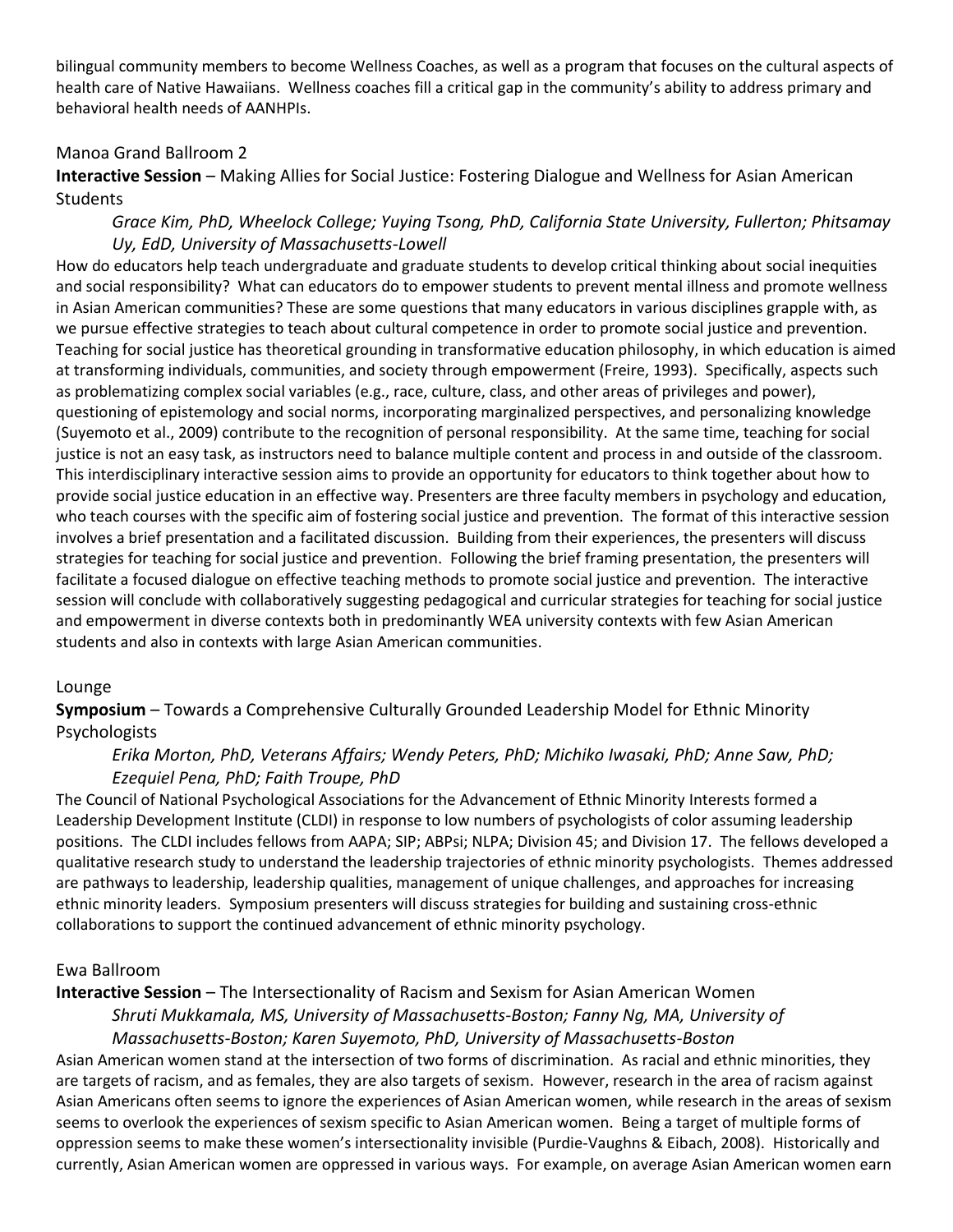bilingual community members to become Wellness Coaches, as well as a program that focuses on the cultural aspects of health care of Native Hawaiians. Wellness coaches fill a critical gap in the community's ability to address primary and behavioral health needs of AANHPIs.

#### Manoa Grand Ballroom 2

**Interactive Session** – Making Allies for Social Justice: Fostering Dialogue and Wellness for Asian American **Students** 

#### Grace Kim, PhD, Wheelock College; Yuying Tsong, PhD, California State University, Fullerton; Phitsamay *Uy,'EdD,'University'of'Massachusetts:Lowell'*

How do educators help teach undergraduate and graduate students to develop critical thinking about social inequities and social responsibility? What can educators do to empower students to prevent mental illness and promote wellness in Asian American communities? These are some questions that many educators in various disciplines grapple with, as we pursue effective strategies to teach about cultural competence in order to promote social justice and prevention. Teaching for social justice has theoretical grounding in transformative education philosophy, in which education is aimed at transforming individuals, communities, and society through empowerment (Freire, 1993). Specifically, aspects such as problematizing complex social variables (e.g., race, culture, class, and other areas of privileges and power), questioning of epistemology and social norms, incorporating marginalized perspectives, and personalizing knowledge (Suyemoto et al., 2009) contribute to the recognition of personal responsibility. At the same time, teaching for social justice is not an easy task, as instructors need to balance multiple content and process in and outside of the classroom. This interdisciplinary interactive session aims to provide an opportunity for educators to think together about how to provide social justice education in an effective way. Presenters are three faculty members in psychology and education, who teach courses with the specific aim of fostering social justice and prevention. The format of this interactive session involves a brief presentation and a facilitated discussion. Building from their experiences, the presenters will discuss strategies for teaching for social justice and prevention. Following the brief framing presentation, the presenters will facilitate a focused dialogue on effective teaching methods to promote social justice and prevention. The interactive session will conclude with collaboratively suggesting pedagogical and curricular strategies for teaching for social justice and empowerment in diverse contexts both in predominantly WEA university contexts with few Asian American students and also in contexts with large Asian American communities.

#### Lounge

**Symposium** – Towards a Comprehensive Culturally Grounded Leadership Model for Ethnic Minority Psychologists

#### *Erika'Morton,'PhD,'Veterans'Affairs;'Wendy'Peters,'PhD;'Michiko'Iwasaki,'PhD;'Anne'Saw,'PhD;'* Ezequiel Pena, PhD; Faith Troupe, PhD

The Council of National Psychological Associations for the Advancement of Ethnic Minority Interests formed a Leadership Development Institute (CLDI) in response to low numbers of psychologists of color assuming leadership positions. The CLDI includes fellows from AAPA; SIP; ABPsi; NLPA; Division 45; and Division 17. The fellows developed a qualitative research study to understand the leadership trajectories of ethnic minority psychologists. Themes addressed are pathways to leadership, leadership qualities, management of unique challenges, and approaches for increasing ethnic minority leaders. Symposium presenters will discuss strategies for building and sustaining cross-ethnic collaborations to support the continued advancement of ethnic minority psychology.

#### Ewa&Ballroom

#### **Interactive Session** – The Intersectionality of Racism and Sexism for Asian American Women

#### *Shruti'Mukkamala,'MS,'University'of'Massachusetts:Boston;'Fanny'Ng,'MA,'University'of' Massachusetts:Boston;'Karen'Suyemoto,'PhD,'University'of'Massachusetts:Boston*

Asian American women stand at the intersection of two forms of discrimination. As racial and ethnic minorities, they are targets of racism, and as females, they are also targets of sexism. However, research in the area of racism against Asian Americans often seems to ignore the experiences of Asian American women, while research in the areas of sexism seems to overlook the experiences of sexism specific to Asian American women. Being a target of multiple forms of oppression seems to make these women's intersectionality invisible (Purdie-Vaughns & Eibach, 2008). Historically and currently, Asian American women are oppressed in various ways. For example, on average Asian American women earn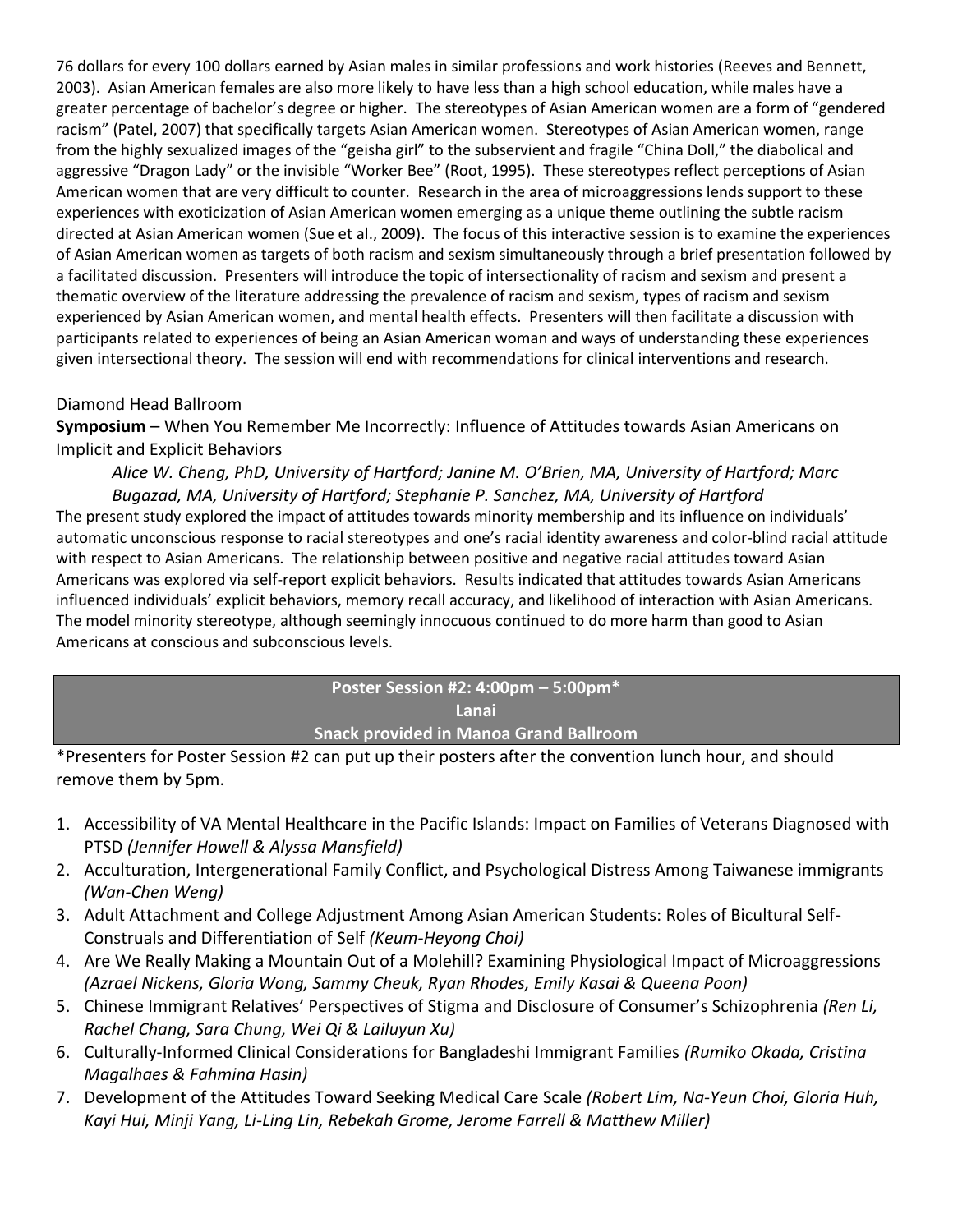76 dollars for every 100 dollars earned by Asian males in similar professions and work histories (Reeves and Bennett, 2003). Asian American females are also more likely to have less than a high school education, while males have a greater percentage of bachelor's degree or higher. The stereotypes of Asian American women are a form of "gendered racism" (Patel, 2007) that specifically targets Asian American women. Stereotypes of Asian American women, range from the highly sexualized images of the "geisha girl" to the subservient and fragile "China Doll," the diabolical and aggressive "Dragon Lady" or the invisible "Worker Bee" (Root, 1995). These stereotypes reflect perceptions of Asian American women that are very difficult to counter. Research in the area of microaggressions lends support to these experiences with exoticization of Asian American women emerging as a unique theme outlining the subtle racism directed at Asian American women (Sue et al., 2009). The focus of this interactive session is to examine the experiences of Asian American women as targets of both racism and sexism simultaneously through a brief presentation followed by a facilitated discussion. Presenters will introduce the topic of intersectionality of racism and sexism and present a thematic overview of the literature addressing the prevalence of racism and sexism, types of racism and sexism experienced by Asian American women, and mental health effects. Presenters will then facilitate a discussion with participants related to experiences of being an Asian American woman and ways of understanding these experiences given intersectional theory. The session will end with recommendations for clinical interventions and research.

#### Diamond Head Ballroom

**Symposium** – When You Remember Me Incorrectly: Influence of Attitudes towards Asian Americans on Implicit and Explicit Behaviors

*Ålice W. Cheng, PhD, University of Hartford; Janine M. O'Brien, MA, University of Hartford; Marc Bugazad,'MA,'University'of'Hartford;'Stephanie'P.'Sanchez,'MA,'University'of'Hartford*

The present study explored the impact of attitudes towards minority membership and its influence on individuals' automatic unconscious response to racial stereotypes and one's racial identity awareness and color-blind racial attitude with respect to Asian Americans. The relationship between positive and negative racial attitudes toward Asian Americans was explored via self-report explicit behaviors. Results indicated that attitudes towards Asian Americans influenced individuals' explicit behaviors, memory recall accuracy, and likelihood of interaction with Asian Americans. The model minority stereotype, although seemingly innocuous continued to do more harm than good to Asian Americans at conscious and subconscious levels.

## **Poster%Session%#2:%4:00pm%ʹ 5:00pm\* Lanai**

#### **Snack provided in Manoa Grand Ballroom**

\*Presenters for Poster Session #2 can put up their posters after the convention lunch hour, and should remove them by 5pm.

- 1. Accessibility of VA Mental Healthcare in the Pacific Islands: Impact on Families of Veterans Diagnosed with PTSD (Jennifer Howell & Alyssa Mansfield)
- 2. Acculturation, Intergenerational Family Conflict, and Psychological Distress Among Taiwanese immigrants *(Wan:Chen'Weng)*
- 3. Adult Attachment and College Adjustment Among Asian American Students: Roles of Bicultural Self-Construals and Differentiation of Self (Keum-Heyong Choi)
- 4. Are We Really Making a Mountain Out of a Molehill? Examining Physiological Impact of Microaggressions *(Azrael'Nickens,'Gloria'Wong,'Sammy'Cheuk,'Ryan'Rhodes,'Emily'Kasai'&'Queena'Poon)*
- 5. Chinese Immigrant Relatives' Perspectives of Stigma and Disclosure of Consumer's Schizophrenia (Ren Li, *Rachel'Chang,'Sara'Chung,'Wei'Qi'& Lailuyun'Xu)*
- 6. Culturally-Informed Clinical Considerations for Bangladeshi Immigrant Families (Rumiko Okada, Cristina<sup>)</sup> *Magalhaes'&'Fahmina'Hasin)*
- 7. Development of the Attitudes Toward Seeking Medical Care Scale *(Robert Lim, Na-Yeun Choi, Gloria Huh, Kayi'Hui,'Minji'Yang,'Li:Ling'Lin,'Rebekah'Grome,'Jerome'Farrell'&'Matthew'Miller)*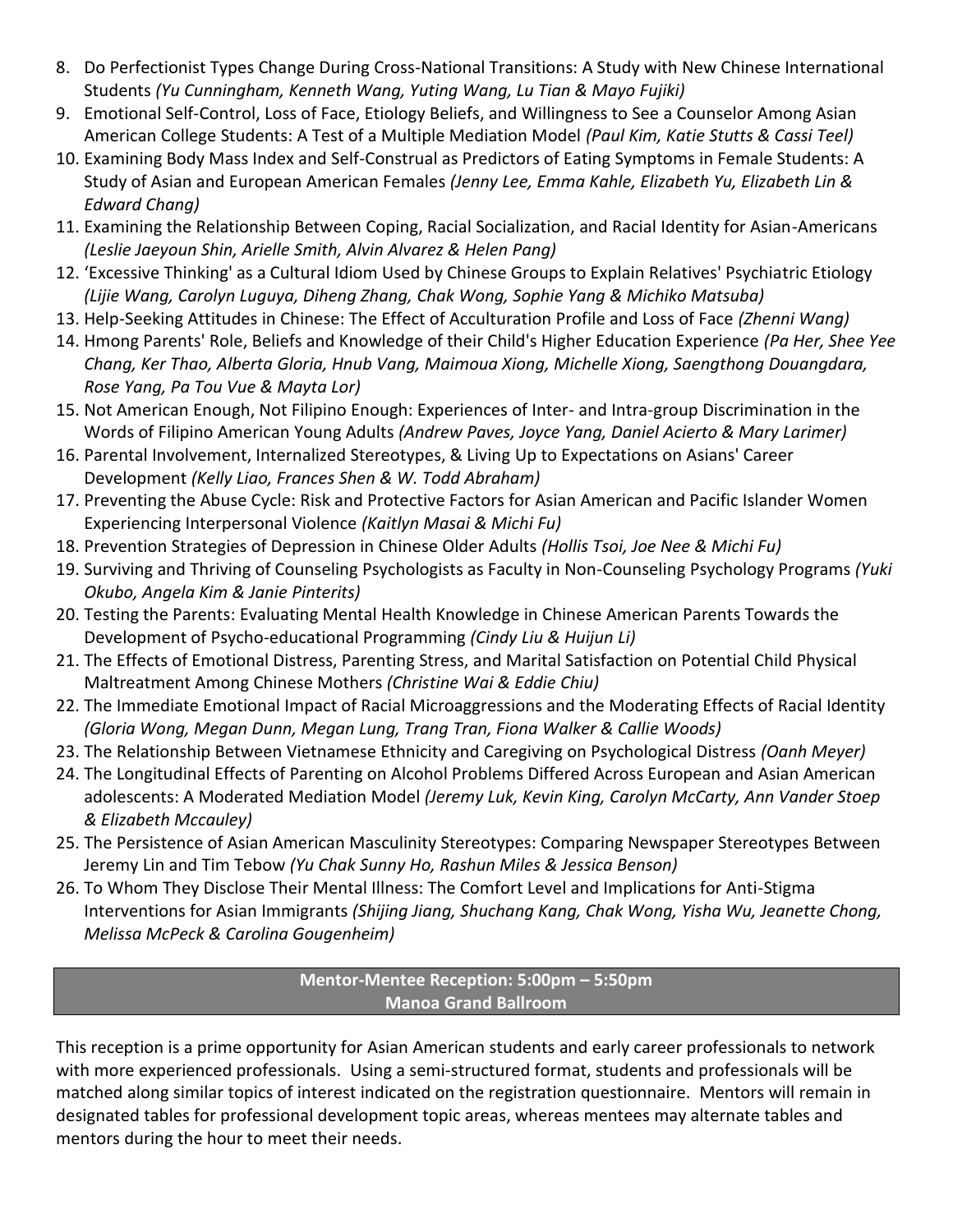- 8. Do Perfectionist Types Change During Cross-National Transitions: A Study with New Chinese International Students (Yu Cunningham, Kenneth Wang, Yuting Wang, Lu Tian & Mayo Fujiki)
- 9. Emotional Self-Control, Loss of Face, Etiology Beliefs, and Willingness to See a Counselor Among Asian American College Students: A Test of a Multiple Mediation Model (Paul Kim, Katie Stutts & Cassi Teel)
- 10. Examining Body Mass Index and Self-Construal as Predictors of Eating Symptoms in Female Students: A Study of Asian and European American Females (Jenny Lee, Emma Kahle, Elizabeth Yu, Elizabeth Lin & *Edward'Chang)*
- 11. Examining the Relationship Between Coping, Racial Socialization, and Racial Identity for Asian-Americans *(Leslie'Jaeyoun'Shin,'Arielle'Smith,'Alvin'Alvarez'&'Helen'Pang)*
- 12. 'Excessive Thinking' as a Cultural Idiom Used by Chinese Groups to Explain Relatives' Psychiatric Etiology *(Lijie'Wang,'Carolyn'Luguya,'Diheng'Zhang,'Chak'Wong,'Sophie'Yang &'Michiko'Matsuba)*
- 13. Help-Seeking Attitudes in Chinese: The Effect of Acculturation Profile and Loss of Face (Zhenni Wang)
- 14. Hmong Parents' Role, Beliefs and Knowledge of their Child's Higher Education Experience (Pa Her, Shee Yee *Chang,'Ker'Thao,'Alberta'Gloria,'Hnub'Vang,'Maimoua'Xiong,'Michelle'Xiong,'Saengthong'Douangdara,' Rose'Yang,'Pa'Tou'Vue'&'Mayta'Lor)*
- 15. Not American Enough, Not Filipino Enough: Experiences of Inter- and Intra-group Discrimination in the Words of Filipino American Young Adults *(Andrew Paves, Joyce Yang, Daniel Acierto & Mary Larimer)*
- 16. Parental Involvement, Internalized Stereotypes, & Living Up to Expectations on Asians' Career Development&*(Kelly'Liao,'Frances'Shen'&'W.'Todd'Abraham)*
- 17. Preventing the Abuse Cycle: Risk and Protective Factors for Asian American and Pacific Islander Women Experiencing Interpersonal Violence (Kaitlyn Masai & Michi Fu)
- 18. Prevention Strategies of Depression in Chinese Older Adults (Hollis Tsoi, Joe Nee & Michi Fu)
- 19. Surviving and Thriving of Counseling Psychologists as Faculty in Non-Counseling Psychology Programs (Yuki *Okubo,'Angela'Kim'&'Janie'Pinterits)*
- 20. Testing the Parents: Evaluating Mental Health Knowledge in Chinese American Parents Towards the Development of Psycho-educational Programming (Cindy Liu & Huijun Li)
- 21. The Effects of Emotional Distress, Parenting Stress, and Marital Satisfaction on Potential Child Physical Maltreatment&Among&Chinese&Mothers&*(Christine'Wai'&'Eddie'Chiu)*
- 22. The Immediate Emotional Impact of Racial Microaggressions and the Moderating Effects of Racial Identity *(Gloria'Wong,'Megan'Dunn,'Megan'Lung,'Trang'Tran,'Fiona'Walker'&'Callie'Woods)*
- 23. The Relationship Between Vietnamese Ethnicity and Caregiving on Psychological Distress *(Oanh Meyer)*
- 24. The Longitudinal Effects of Parenting on Alcohol Problems Differed Across European and Asian American adolescents: A Moderated Mediation Model (Jeremy Luk, Kevin King, Carolyn McCarty, Ann Vander Stoep *&'Elizabeth'Mccauley)*
- 25. The Persistence of Asian American Masculinity Stereotypes: Comparing Newspaper Stereotypes Between Jeremy Lin and Tim Tebow (Yu Chak Sunny Ho, Rashun Miles & Jessica Benson)
- 26. To Whom They Disclose Their Mental Illness: The Comfort Level and Implications for Anti-Stigma Interventions for Asian Immigrants (Shijing Jiang, Shuchang Kang, Chak Wong, Yisha Wu, Jeanette Chong, *Melissa'McPeck'&'Carolina'Gougenheim)*

#### **Mentor-Mentee Reception: 5:00pm - 5:50pm Manoa%Grand%Ballroom**

This reception is a prime opportunity for Asian American students and early career professionals to network with more experienced professionals. Using a semi-structured format, students and professionals will be matched along similar topics of interest indicated on the registration questionnaire. Mentors will remain in designated tables for professional development topic areas, whereas mentees may alternate tables and mentors during the hour to meet their needs.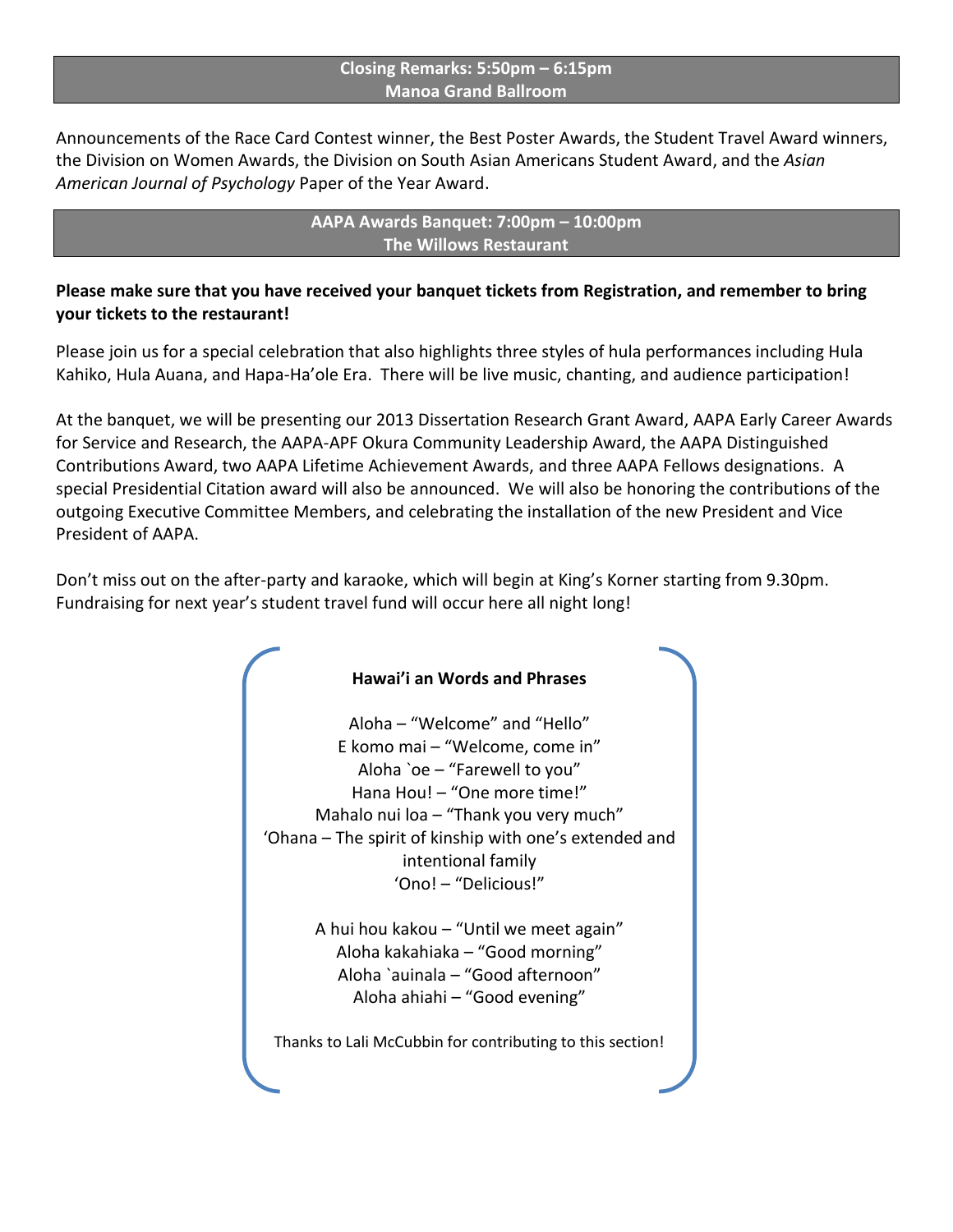#### **Closing Remarks: 5:50pm - 6:15pm Manoa%Grand%Ballroom**

Announcements of the Race Card Contest winner, the Best Poster Awards, the Student Travel Award winners, the Division on Women Awards, the Division on South Asian Americans Student Award, and the Asian American Journal of Psychology Paper of the Year Award.

> **AAPA%Awards%Banquet:%7:00pm%ʹ 10:00pm The Willows Restaurant**

#### **Please make sure that you have received your banquet tickets from Registration, and remember to bring your tickets to the restaurant!**

Please join us for a special celebration that also highlights three styles of hula performances including Hula Kahiko, Hula Auana, and Hapa-Ha'ole Era. There will be live music, chanting, and audience participation!

At the banquet, we will be presenting our 2013 Dissertation Research Grant Award, AAPA Early Career Awards for Service and Research, the AAPA-APF Okura Community Leadership Award, the AAPA Distinguished Contributions Award, two AAPA Lifetime Achievement Awards, and three AAPA Fellows designations. A special Presidential Citation award will also be announced. We will also be honoring the contributions of the outgoing Executive Committee Members, and celebrating the installation of the new President and Vice President of AAPA.

Don't miss out on the after-party and karaoke, which will begin at King's Korner starting from 9.30pm. Fundraising for next year's student travel fund will occur here all night long!

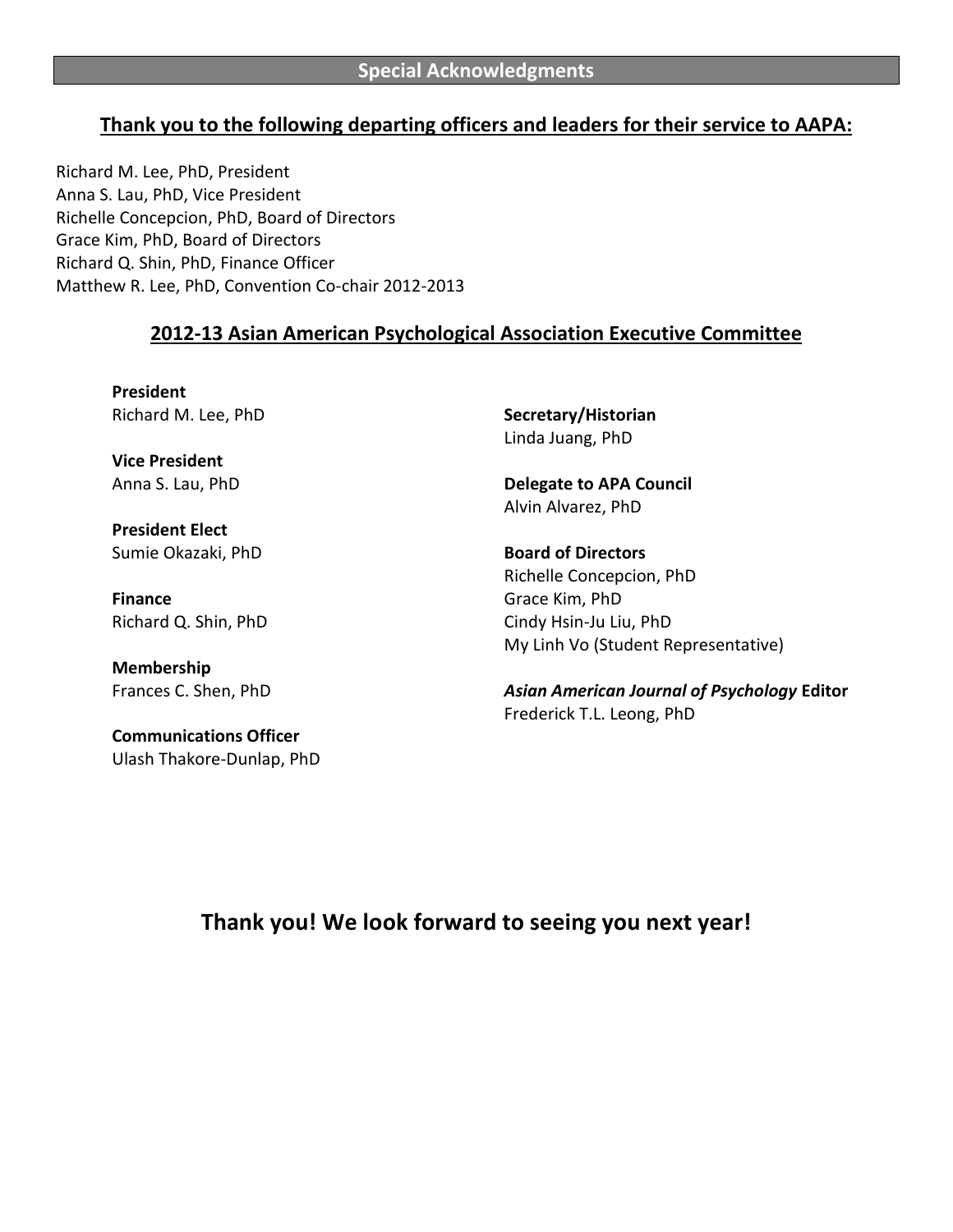## **Thank you to the following departing officers and leaders for their service to AAPA:**

Richard M. Lee, PhD, President Anna S. Lau, PhD, Vice President Richelle Concepcion, PhD, Board of Directors Grace Kim, PhD, Board of Directors Richard Q. Shin, PhD, Finance Officer Matthew R. Lee, PhD, Convention Co-chair 2012-2013

#### **2012-13 Asian American Psychological Association Executive Committee**

**President** Richard M. Lee, PhD

**Vice President** Anna S. Lau, PhD

**President Elect** Sumie Okazaki, PhD

**Finance** Richard Q. Shin, PhD

**Membership** Frances C. Shen, PhD

**Communications%Officer** Ulash Thakore-Dunlap, PhD **Secretary/Historian** Linda Juang, PhD

**Delegate to APA Council** Alvin Alvarez, PhD

**Board of Directors** Richelle Concepcion, PhD Grace Kim, PhD Cindy Hsin-Ju Liu, PhD My Linh Vo (Student Representative)

*Asian!American!Journal!of!Psychology* **Editor** Frederick T.L. Leong, PhD

**Thank you! We look forward to seeing you next year!**